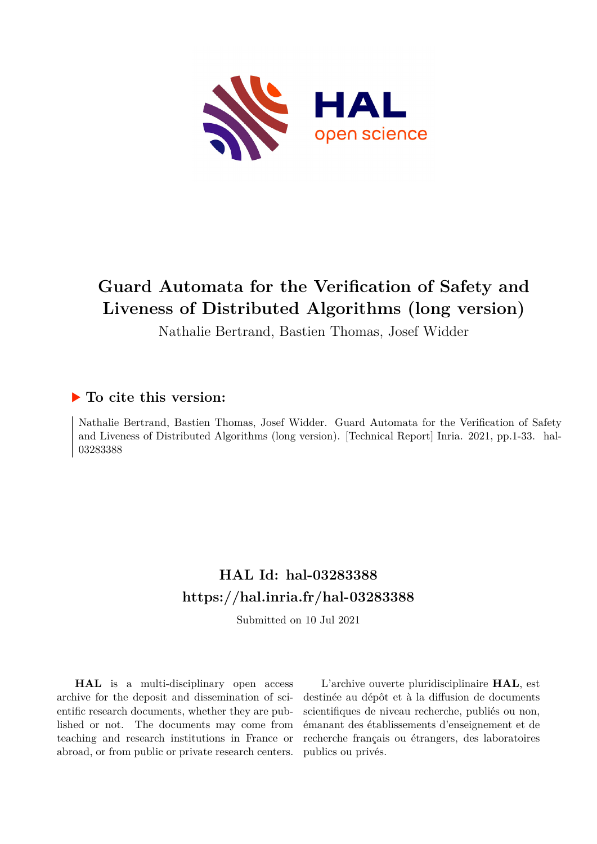

# **Guard Automata for the Verification of Safety and Liveness of Distributed Algorithms (long version)**

Nathalie Bertrand, Bastien Thomas, Josef Widder

## **To cite this version:**

Nathalie Bertrand, Bastien Thomas, Josef Widder. Guard Automata for the Verification of Safety and Liveness of Distributed Algorithms (long version). [Technical Report] Inria. 2021, pp.1-33. hal-03283388ff

# **HAL Id: hal-03283388 <https://hal.inria.fr/hal-03283388>**

Submitted on 10 Jul 2021

**HAL** is a multi-disciplinary open access archive for the deposit and dissemination of scientific research documents, whether they are published or not. The documents may come from teaching and research institutions in France or abroad, or from public or private research centers.

L'archive ouverte pluridisciplinaire **HAL**, est destinée au dépôt et à la diffusion de documents scientifiques de niveau recherche, publiés ou non, émanant des établissements d'enseignement et de recherche français ou étrangers, des laboratoires publics ou privés.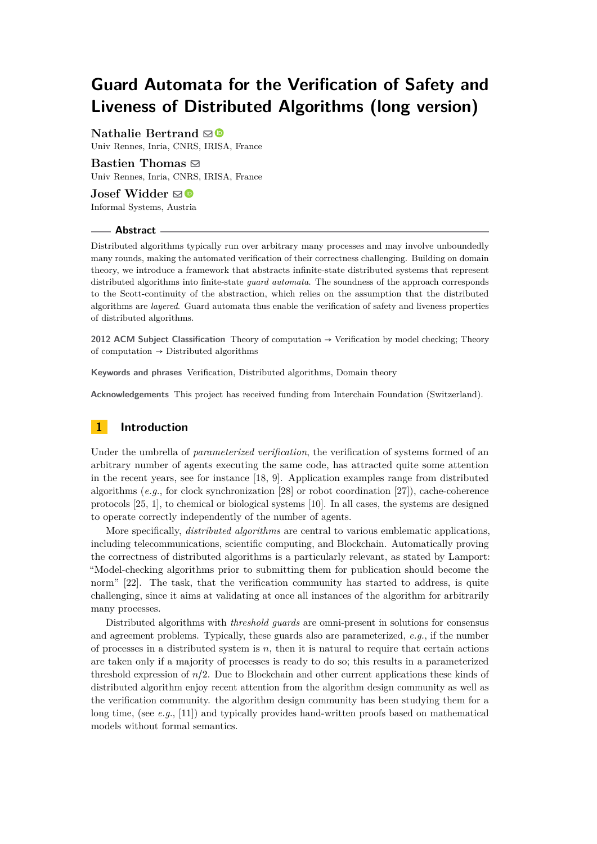# **Guard Automata for the Verification of Safety and Liveness of Distributed Algorithms (long version)**

**Nathalie Bertrand**  $\mathbf{\mathbf{\odot}}$  **■** Univ Rennes, Inria, CNRS, IRISA, France

**Bastien Thomas** [!](mailto:bastien.thomas@inria.fr) Univ Rennes, Inria, CNRS, IRISA, France

**Josef Widder** [!](mailto:josef@informal.systems) Informal Systems, Austria

### **Abstract**

Distributed algorithms typically run over arbitrary many processes and may involve unboundedly many rounds, making the automated verification of their correctness challenging. Building on domain theory, we introduce a framework that abstracts infinite-state distributed systems that represent distributed algorithms into finite-state *guard automata*. The soundness of the approach corresponds to the Scott-continuity of the abstraction, which relies on the assumption that the distributed algorithms are *layered*. Guard automata thus enable the verification of safety and liveness properties of distributed algorithms.

**2012 ACM Subject Classification** Theory of computation → Verification by model checking; Theory of computation  $\rightarrow$  Distributed algorithms

**Keywords and phrases** Verification, Distributed algorithms, Domain theory

**Acknowledgements** This project has received funding from Interchain Foundation (Switzerland).

## **1 Introduction**

Under the umbrella of *parameterized verification*, the verification of systems formed of an arbitrary number of agents executing the same code, has attracted quite some attention in the recent years, see for instance [18, 9]. Application examples range from distributed algorithms (*e.g.*, for clock synchronization [28] or robot coordination [27]), cache-coherence protocols [25, 1], to chemical or biological systems [10]. In all cases, the systems are designed to operate correctly independently of the number of agents.

More specifically, *distributed algorithms* are central to various emblematic applications, including telecommunications, scientific computing, and Blockchain. Automatically proving the correctness of distributed algorithms is a particularly relevant, as stated by Lamport: "Model-checking algorithms prior to submitting them for publication should become the norm" [22]. The task, that the verification community has started to address, is quite challenging, since it aims at validating at once all instances of the algorithm for arbitrarily many processes.

Distributed algorithms with *threshold guards* are omni-present in solutions for consensus and agreement problems. Typically, these guards also are parameterized, *e.g.*, if the number of processes in a distributed system is *n*, then it is natural to require that certain actions are taken only if a majority of processes is ready to do so; this results in a parameterized threshold expression of  $n/2$ . Due to Blockchain and other current applications these kinds of distributed algorithm enjoy recent attention from the algorithm design community as well as the verification community. the algorithm design community has been studying them for a long time, (see *e.g.*, [11]) and typically provides hand-written proofs based on mathematical models without formal semantics.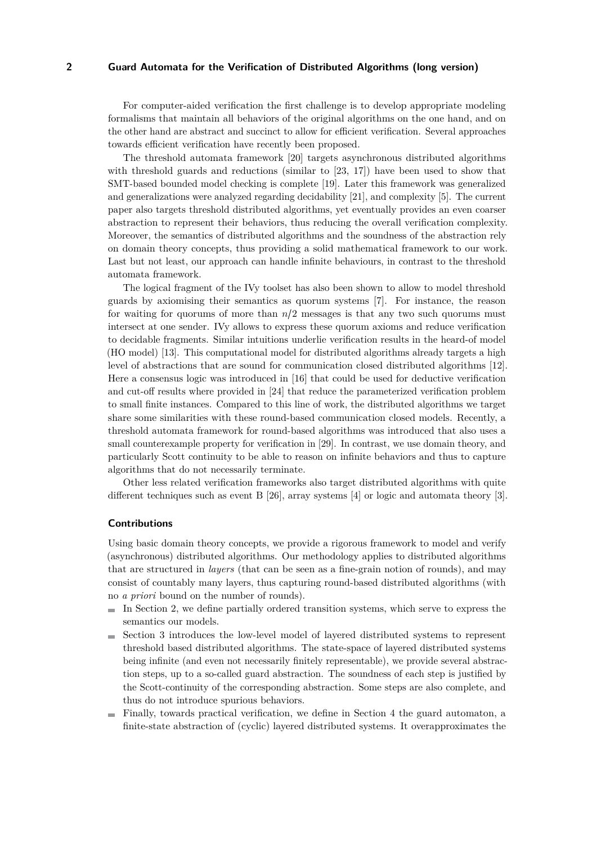For computer-aided verification the first challenge is to develop appropriate modeling formalisms that maintain all behaviors of the original algorithms on the one hand, and on the other hand are abstract and succinct to allow for efficient verification. Several approaches towards efficient verification have recently been proposed.

The threshold automata framework [20] targets asynchronous distributed algorithms with threshold guards and reductions (similar to [23, 17]) have been used to show that SMT-based bounded model checking is complete [19]. Later this framework was generalized and generalizations were analyzed regarding decidability [21], and complexity [5]. The current paper also targets threshold distributed algorithms, yet eventually provides an even coarser abstraction to represent their behaviors, thus reducing the overall verification complexity. Moreover, the semantics of distributed algorithms and the soundness of the abstraction rely on domain theory concepts, thus providing a solid mathematical framework to our work. Last but not least, our approach can handle infinite behaviours, in contrast to the threshold automata framework.

The logical fragment of the IVy toolset has also been shown to allow to model threshold guards by axiomising their semantics as quorum systems [7]. For instance, the reason for waiting for quorums of more than *<sup>n</sup>*/<sup>2</sup> messages is that any two such quorums must intersect at one sender. IVy allows to express these quorum axioms and reduce verification to decidable fragments. Similar intuitions underlie verification results in the heard-of model (HO model) [13]. This computational model for distributed algorithms already targets a high level of abstractions that are sound for communication closed distributed algorithms [12]. Here a consensus logic was introduced in [16] that could be used for deductive verification and cut-off results where provided in [24] that reduce the parameterized verification problem to small finite instances. Compared to this line of work, the distributed algorithms we target share some similarities with these round-based communication closed models. Recently, a threshold automata framework for round-based algorithms was introduced that also uses a small counterexample property for verification in [29]. In contrast, we use domain theory, and particularly Scott continuity to be able to reason on infinite behaviors and thus to capture algorithms that do not necessarily terminate.

Other less related verification frameworks also target distributed algorithms with quite different techniques such as event B [26], array systems [4] or logic and automata theory [3].

### **Contributions**

Using basic domain theory concepts, we provide a rigorous framework to model and verify (asynchronous) distributed algorithms. Our methodology applies to distributed algorithms that are structured in *layers* (that can be seen as a fine-grain notion of rounds), and may consist of countably many layers, thus capturing round-based distributed algorithms (with no *a priori* bound on the number of rounds).

- $\blacksquare$  In Section 2, we define partially ordered transition systems, which serve to express the semantics our models.
- Section 3 introduces the low-level model of layered distributed systems to represent  $\sim$ threshold based distributed algorithms. The state-space of layered distributed systems being infinite (and even not necessarily finitely representable), we provide several abstraction steps, up to a so-called guard abstraction. The soundness of each step is justified by the Scott-continuity of the corresponding abstraction. Some steps are also complete, and thus do not introduce spurious behaviors.
- Finally, towards practical verification, we define in Section 4 the guard automaton, a finite-state abstraction of (cyclic) layered distributed systems. It overapproximates the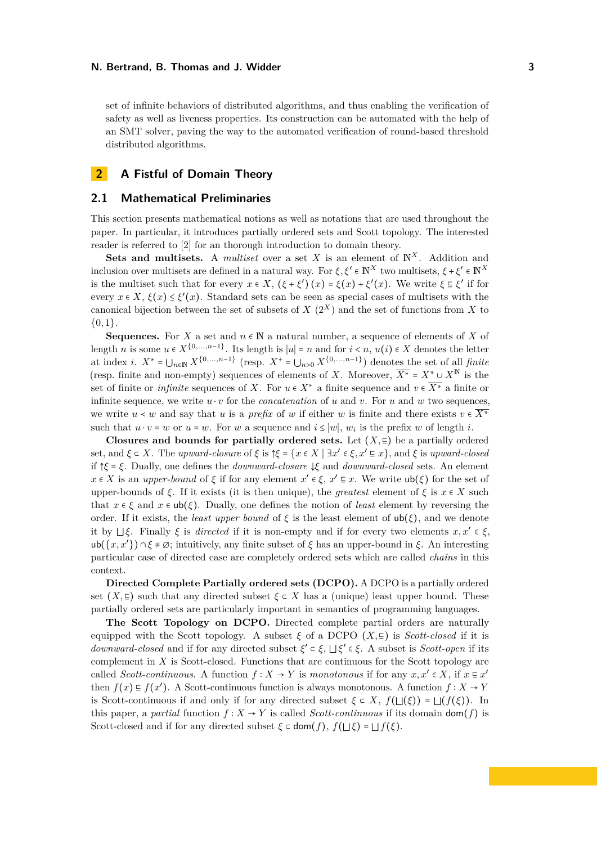set of infinite behaviors of distributed algorithms, and thus enabling the verification of safety as well as liveness properties. Its construction can be automated with the help of an SMT solver, paving the way to the automated verification of round-based threshold distributed algorithms.

## **2 A Fistful of Domain Theory**

### **2.1 Mathematical Preliminaries**

This section presents mathematical notions as well as notations that are used throughout the paper. In particular, it introduces partially ordered sets and Scott topology. The interested reader is referred to [2] for an thorough introduction to domain theory.

**Sets and multisets.** A *multiset* over a set *X* is an element of  $\mathbb{N}^X$ . Addition and inclusion over multisets are defined in a natural way. For  $\xi, \xi' \in \mathbb{N}^X$  two multisets,  $\xi + \xi' \in \mathbb{N}^X$ is the multiset such that for every  $x \in X$ ,  $(\xi + \xi') (x) = \xi(x) + \xi'(x)$ . We write  $\xi \in \xi'$  if for every  $x \in X$ ,  $\xi(x) \leq \xi'(x)$ . Standard sets can be seen as special cases of multisets with the canonical bijection between the set of subsets of  $X(2^X)$  and the set of functions from X to {0*,* <sup>1</sup>}.

**Sequences.** For *X* a set and  $n \in \mathbb{N}$  a natural number, a sequence of elements of *X* of length *n* is some  $u \in X^{\{0,\ldots,n-1\}}$ . Its length is  $|u| = n$  and for  $i < n$ ,  $u(i) \in X$  denotes the letter at index *i*.  $X^* = \bigcup_{n \in \mathbb{N}} X^{\{0,\ldots,n-1\}}$  (resp.  $X^+ = \bigcup_{n>0} X^{\{0,\ldots,n-1\}}$ ) denotes the set of all *finite* (resp. finite and non-empty) sequences of elements of *X*. Moreover,  $\overline{X^*} = X^* \cup X^{\mathbb{N}}$  is the set of finite or *infinite* sequences of *X*. For  $u \in X^*$  a finite sequence and  $v \in \overline{X^*}$  a finite or infinite sequence, we write  $u \cdot v$  for the *concatenation* of  $u$  and  $v$ . For  $u$  and  $w$  two sequences, we write  $u \lt w$  and say that *u* is a *prefix* of *w* if either *w* is finite and there exists  $v \in \overline{X^*}$ such that  $u \cdot v = w$  or  $u = w$ . For *w* a sequence and  $i \le |w|$ ,  $w_i$  is the prefix *w* of length *i*.

**Closures and bounds for partially ordered sets.** Let  $(X, \subseteq)$  be a partially ordered set, and  $\xi \in X$ . The *upward-closure* of  $\xi$  is  $\uparrow \xi = \{x \in X \mid \exists x' \in \xi, x' \in x\}$ , and  $\xi$  is *upward-closed*<br>if  $\uparrow \xi \in \Xi$ . if <sup>↑</sup>*<sup>ξ</sup>* <sup>=</sup> *<sup>ξ</sup>*. Dually, one defines the *downward-closure* <sup>↓</sup>*<sup>ξ</sup>* and *downward-closed* sets. An element  $x \in X$  is an *upper-bound* of  $\xi$  if for any element  $x' \in \xi$ ,  $x' \equiv x$ . We write  $\mathsf{u}\mathsf{b}(\xi)$  for the set of upper-bounds of *ξ*. If it exists (it is then unique), the *greatest* element of  $\xi$  is  $x \in X$  such that  $x \in \xi$  and  $x \in \text{ub}(\xi)$ . Dually, one defines the notion of *least* element by reversing the order. If it exists, the *least upper bound* of  $\xi$  is the least element of  $ub(\xi)$ , and we denote it by <sup>⊔</sup>*ξ*. Finally *<sup>ξ</sup>* is *directed* if it is non-empty and if for every two elements *x, x*′ ∈ *ξ*, ub( $\{x, x'\}$ )  $\cap \xi \neq \emptyset$ ; intuitively, any finite subset of  $\xi$  has an upper-bound in  $\xi$ . An interesting particular case of directed case are completely ordered sets which are called *chains* in this context.

**Directed Complete Partially ordered sets (DCPO).** A DCPO is a partially ordered set  $(X, \subseteq)$  such that any directed subset  $\xi \subset X$  has a (unique) least upper bound. These partially ordered sets are particularly important in semantics of programming languages.

**The Scott Topology on DCPO.** Directed complete partial orders are naturally equipped with the Scott topology. A subset  $\xi$  of a DCPO  $(X,\subseteq)$  is *Scott-closed* if it is *downward-closed* and if for any directed subset  $\xi'$  ⊂  $\xi$ ,  $□ \xi'$  ∈  $\xi$ . A subset is *Scott-open* if its complement in *X* is Scott-closed. Functions that are continuous for the Scott topology are called *Scott-continuous*. A function  $f: X \to Y$  is *monotonous* if for any  $x, x' \in X$ , if  $x \in x'$ then  $f(x) \text{ } \text{ } \text{ } f(x')$ . A Scott-continuous function is always monotonous. A function  $f : X \to Y$ is Scott-continuous if and only if for any directed subset  $\xi \in X$ ,  $f(\bot(\xi)) = \bot(f(\xi))$ . In this paper, a *partial* function  $f : X \to Y$  is called *Scott-continuous* if its domain dom(*f*) is Scott-closed and if for any directed subset  $\xi \subset \text{dom}(f)$ ,  $f(\Box \xi) = \Box f(\xi)$ .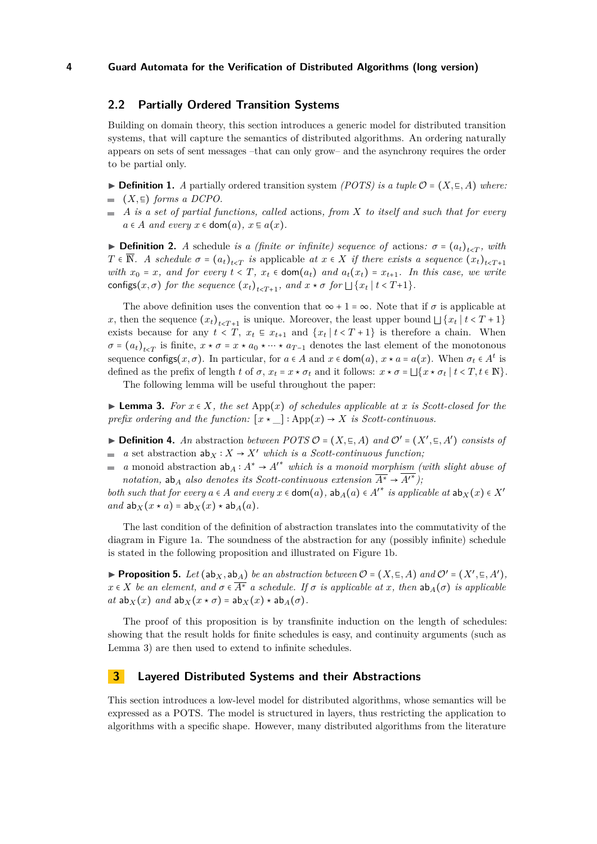## **2.2 Partially Ordered Transition Systems**

Building on domain theory, this section introduces a generic model for distributed transition systems, that will capture the semantics of distributed algorithms. An ordering naturally appears on sets of sent messages –that can only grow– and the asynchrony requires the order to be partial only.

**► Definition 1.** *A* partially ordered transition system *(POTS) is a tuple*  $\mathcal{O} = (X, \subseteq, A)$  *where:* 

- $( X, ∃)$  *forms a DCPO.*
- *A is a set of partial functions, called* actions*, from X to itself and such that for every*  $a \in A$  *and every*  $x \in \text{dom}(a)$ ,  $x \in a(x)$ .

**Definition 2.** *A* schedule *is a (finite or infinite) sequence of* actions:  $\sigma = (a_t)_{t \leq T}$ , with  $T \in \overline{\mathbb{N}}$ . A schedule  $\sigma = (a_t)_{t < T}$  is applicable  $at \ x \in X$  if there exists a sequence  $(x_t)_{t \in T+1}$ *with*  $x_0 = x$ *, and for every*  $t < T$ *,*  $x_t \in \text{dom}(a_t)$  *and*  $a_t(x_t) = x_{t+1}$ *. In this case, we write* configs( $x, \sigma$ ) *for the sequence*  $(x_t)_{t \le T+1}$ *, and*  $x \star \sigma$  *for*  $\Box \{x_t | t \le T+1\}$ *.* 

The above definition uses the convention that  $\infty + 1 = \infty$ . Note that if  $\sigma$  is applicable at *x*, then the sequence  $(x_t)_{t \le T+1}$  is unique. Moreover, the least upper bound  $\bigcup \{x_t | t \le T+1\}$ exists because for any  $t < T$ ,  $x_t \text{ }\in x_{t+1}$  and  $\{x_t | t < T + 1\}$  is therefore a chain. When  $\sigma = (a_t)_{t \le T}$  is finite,  $x \star \sigma = x \star a_0 \star \cdots \star a_{T-1}$  denotes the last element of the monotonous sequence configs $(x, \sigma)$ . In particular, for  $a \in A$  and  $x \in \text{dom}(a)$ ,  $x \star a = a(x)$ . When  $\sigma_t \in A^t$  is defined as the prefix of length *t* of  $\sigma$ ,  $x_t = x \star \sigma_t$  and it follows:  $x \star \sigma = \bigsqcup \{x \star \sigma_t | t < T, t \in \mathbb{N}\}\$ .

The following lemma will be useful throughout the paper:

▶ **Lemma 3.** *For*  $x \in X$ *, the set* App( $x$ ) *of schedules applicable at*  $x$  *is Scott-closed for the prefix ordering and the function:*  $[x \star \_]: App(x) \to X$  *is Scott-continuous.* 

- **► Definition 4.** An abstraction *between POTS*  $\mathcal{O} = (X, \Xi, A)$  *and*  $\mathcal{O}' = (X', \Xi, A')$  *consists of*  $\blacksquare$  *a* set abstraction  $ab_X : X → X'$  *which is a Scott-continuous function*;
- *a* monoid abstraction  $ab_A: A^* \to A'^*$  which is a monoid morphism (with slight abuse of  $\mathbf{r}$ *notation,* ab<sub>*A*</sub> *also denotes its Scott-continuous extension*  $\overline{A^*} \rightarrow \overline{A'}^*$ );

*both such that for every*  $a \in A$  *and every*  $x \in \text{dom}(a)$ *,*  $ab_A(a) \in A'^*$  *is applicable at*  $ab_X(x) \in X'$  $and$   $ab_X(x \star a) = ab_X(x) \star ab_A(a)$ .

The last condition of the definition of abstraction translates into the commutativity of the diagram in Figure 1a. The soundness of the abstraction for any (possibly infinite) schedule is stated in the following proposition and illustrated on Figure 1b.

▶ **Proposition 5.** *Let*  $(\mathsf{ab}_X, \mathsf{ab}_A)$  *be an abstraction between*  $\mathcal{O} = (X, \subseteq, A)$  *and*  $\mathcal{O}' = (X', \subseteq, A')$ ,  $x \in X$  *be an element, and*  $\sigma \in \overline{A^*}$  *a schedule. If*  $\sigma$  *is applicable at x, then*  $ab_A(\sigma)$  *is applicable*  $at$   $ab_X(x)$   $and$   $ab_X(x \star \sigma) = ab_X(x) \star ab_A(\sigma)$ .

The proof of this proposition is by transfinite induction on the length of schedules: showing that the result holds for finite schedules is easy, and continuity arguments (such as Lemma 3) are then used to extend to infinite schedules.

## **3 Layered Distributed Systems and their Abstractions**

This section introduces a low-level model for distributed algorithms, whose semantics will be expressed as a POTS. The model is structured in layers, thus restricting the application to algorithms with a specific shape. However, many distributed algorithms from the literature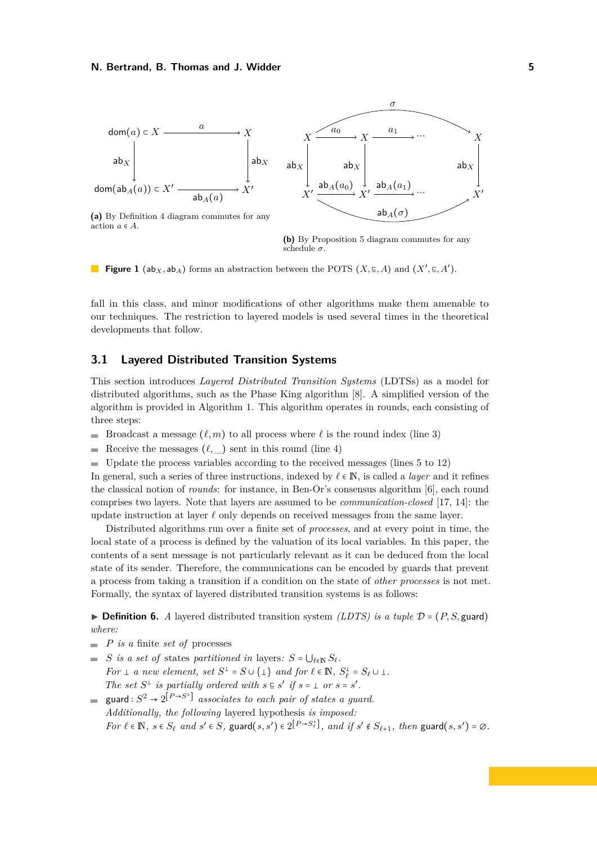

action  $a \in A$ .



**Figure 1** (ab<sub>*X*</sub>, ab<sub>*A*</sub>) forms an abstraction between the POTS (*X*,  $\in$ , *A*) and (*X*<sup> $\prime$ </sup>,  $\in$ , *A*<sup> $\prime$ </sup>).

fall in this class, and minor modifications of other algorithms make them amenable to our techniques. The restriction to layered models is used several times in the theoretical developments that follow.

## **3.1 Layered Distributed Transition Systems**

This section introduces *Layered Distributed Transition Systems* (LDTSs) as a model for distributed algorithms, such as the Phase King algorithm [8]. A simplified version of the algorithm is provided in Algorithm 1. This algorithm operates in rounds, each consisting of three steps:

- Broadcast a message  $(\ell, m)$  to all process where  $\ell$  is the round index (line 3)
- Receive the messages  $(\ell, \_)$  sent in this round (line 4)  $\mathbf{r}$
- $\blacksquare$  Update the process variables according to the received messages (lines 5 to 12)

In general, such a series of three instructions, indexed by *<sup>ℓ</sup>* <sup>∈</sup> <sup>N</sup>, is called a *layer* and it refines the classical notion of *rounds*: for instance, in Ben-Or's consensus algorithm [6], each round comprises two layers. Note that layers are assumed to be *communication-closed* [17, 14]: the update instruction at layer *ℓ* only depends on received messages from the same layer.

Distributed algorithms run over a finite set of *processes*, and at every point in time, the local state of a process is defined by the valuation of its local variables. In this paper, the contents of a sent message is not particularly relevant as it can be deduced from the local state of its sender. Therefore, the communications can be encoded by guards that prevent a process from taking a transition if a condition on the state of *other processes* is not met. Formally, the syntax of layered distributed transition systems is as follows:

 $\triangleright$  **Definition 6.** *A* layered distributed transition system *(LDTS) is a tuple*  $\mathcal{D} = (P, S, \text{guard})$ *where:*

- $\blacksquare$  *P is a* finite *set of* processes
- $S$  *is a set of* states *partitioned in* layers:  $S = \bigcup_{\ell \in \mathbb{N}} S_{\ell}$ . *For*  $\perp$  *a new element, set*  $S^{\perp} = S \cup \{\perp\}$  *and for*  $\ell \in \mathbb{N}$ ,  $S_{\ell}^{\perp} = S_{\ell} \cup \perp$ . *The set*  $S^{\perp}$  *is partially ordered with*  $s \in s'$  *if*  $s = \perp$  *or*  $s = s'$ *.*
- $\text{guard}: S^2 \to 2^{\left[P \to S^{\perp}\right]}$  associates to each pair of states a guard. *Additionally, the following* layered hypothesis *is imposed:* For  $\ell \in \mathbb{N}$ ,  $s \in S_{\ell}$  and  $s' \in S$ , guard $(s, s') \in 2^{\lfloor P \to S_{\ell}^{\perp} \rfloor}$ , and if  $s' \notin S_{\ell+1}$ , then guard $(s, s') = \emptyset$ .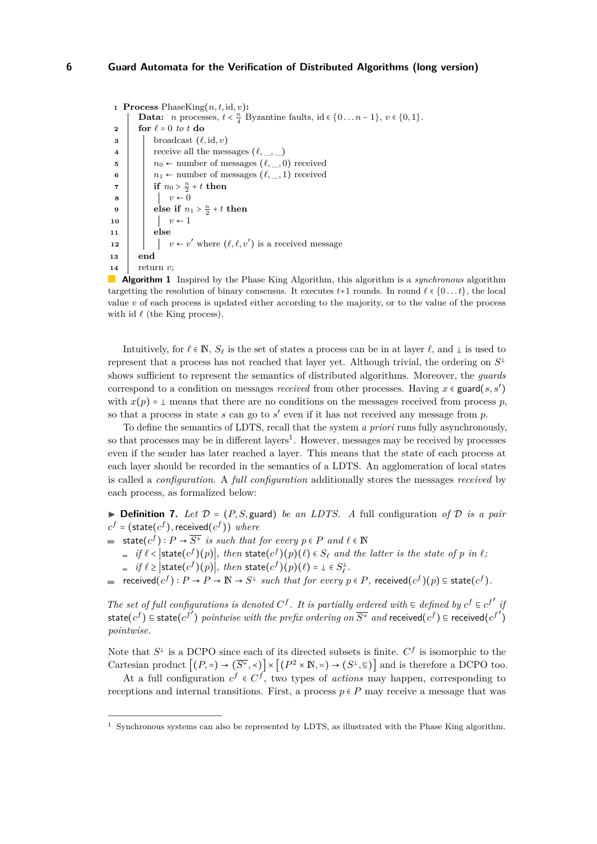```
1 Process PhaseKing(n, t, id, v):
        Data: n processes, t < \frac{n}{4} Byzantine faults, id \in \{0...n-1\}, v \in \{0,1\}.
 2 for \ell = 0 to t do
 \mathbf{s} | broadcast (\ell, id, v)4 \vert receive all the messages (\ell, \_, \_)5 \vert n<sub>0</sub> ← number of messages (\ell, _, 0) received
 6 \vert \cdot \vert n_1 \leftarrow number of messages (\ell, \cdot, 1) received
 \tau if n_0 > \frac{n}{2} + t then
 \mathbf{s} | | v \leftarrow 09 else if n_1 > \frac{n}{2} + t then
10 | | v \leftarrow 111 else
12 \vert \vert v \leftarrow v' where (\ell, \ell, v') is a received message
13 end
14 return v;
```
 $\mathcal{L}^{\text{max}}$ **Algorithm 1** Inspired by the Phase King Algorithm, this algorithm is a *synchronous* algorithm targetting the resolution of binary consensus. It executes  $t+1$  rounds. In round  $\ell \in \{0, \ldots t\}$ , the local value *v* of each process is updated either according to the majority, or to the value of the process with id  $ℓ$  (the King process).

Intuitively, for  $\ell \in \mathbb{N}$ ,  $S_{\ell}$  is the set of states a process can be in at layer  $\ell$ , and  $\bot$  is used to represent that a process has not reached that layer yet. Although trivial, the ordering on *S* shows sufficient to represent the semantics of distributed algorithms. Moreover, the *guards* correspond to a condition on messages *received* from other processes. Having  $x \in \text{guard}(s, s')$ with  $x(p) = \bot$  means that there are no conditions on the messages received from process *p*, so that a process in state *s* can go to *s* ′ even if it has not received any message from *p*.

To define the semantics of LDTS, recall that the system *a priori* runs fully asynchronously, so that processes may be in different layers<sup>1</sup>. However, messages may be received by processes even if the sender has later reached a layer. This means that the state of each process at each layer should be recorded in the semantics of a LDTS. An agglomeration of local states is called a *configuration*. A *full configuration* additionally stores the messages *received* by each process, as formalized below:

 $\triangleright$  **Definition 7.** Let  $\mathcal{D} = (P, S, \text{guard})$  be an LDTS. A full configuration of  $\mathcal{D}$  is a pair  $c^f$  = (state( $c^f$ ),received( $c^f$ )) *where* 

state( $cf$ ):  $P \rightarrow \overline{S^+}$  *is such that for every*  $p \in P$  *and*  $\ell \in \mathbb{N}$ 

*if*  $\ell <$   $\vert$  state( $c^f$ )( $p$ )|*, then* state( $c^f$ )( $p$ )( $\ell$ )  $\in$  *S* $_{\ell}$  *and the latter is the state of*  $p$  *in*  $\ell$ ; *if*  $\ell \geq |\text{state}(c^f)(p)|$ *, then* state $(c^f)(p)(\ell) = \bot \in S^{\bot}_{\ell}$ *.* 

received(*<sup>c</sup> f* ) <sup>∶</sup> *<sup>P</sup>* <sup>→</sup> *<sup>P</sup>* <sup>→</sup> <sup>N</sup> <sup>→</sup> *<sup>S</sup> such that for every <sup>p</sup>* <sup>∈</sup> *<sup>P</sup>,* received(*<sup>c</sup> f* )(*p*) <sup>⊑</sup> state(*<sup>c</sup> f* )*.*

*The set of full configurations is denoted*  $C^f$ . It is partially ordered with  $\subseteq$  *defined by*  $c^f \subseteq c^{f'}$  *if*  $\subseteq$  *i*  $f'$  *if*  $f'$  $\text{state}(c^f) \subseteq \text{state}(c^{f'})$  *pointwise with the prefix ordering on*  $\overline{S^+}$  *and* received $(c^f) \subseteq \text{received}(c^{f'})$  $\overline{\phantom{a}}$ *pointwise.*

Note that  $S^{\perp}$  is a DCPO since each of its directed subsets is finite.  $C^{f}$  is isomorphic to the Cartesian product  $[(P, =) \rightarrow (\overline{S^+}, <)] \times [(P^2 \times \mathbb{N}, =) \rightarrow (S^{\perp}, \subseteq)]$  and is therefore a DCPO too.

At a full configuration  $c^f \in C^f$ , two types of *actions* may happen, corresponding to receptions and internal transitions. First, a process  $p \in P$  may receive a message that was

<sup>1</sup> Synchronous systems can also be represented by LDTS, as illustrated with the Phase King algorithm.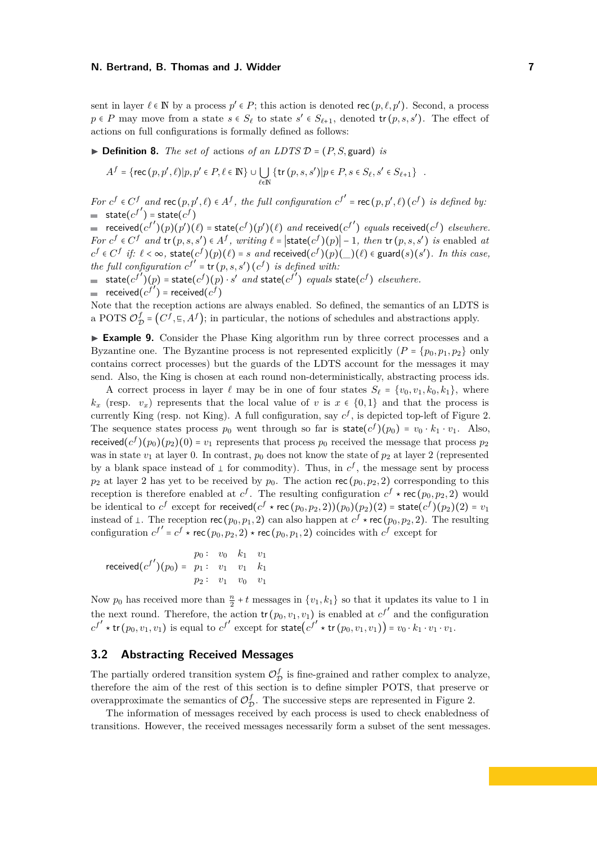sent in layer  $\ell \in \mathbb{N}$  by a process  $p' \in P$ ; this action is denoted rec  $(p, \ell, p')$ . Second, a process  $p \in P$  may move from a state  $s \in S_\ell$  to state  $s' \in S_{\ell+1}$ , denoted  $\text{tr}(p, s, s')$ . The effect of actions on full configurations is formally defined as follows:

 $\triangleright$  **Definition 8.** *The set of* actions *of an LDTS*  $\mathcal{D} = (P, S, \text{guard})$  *is* 

$$
A^f = \{ \text{rec}(p, p', \ell) | p, p' \in P, \ell \in \mathbb{N} \} \cup \bigcup_{\ell \in \mathbb{N}} \{ \text{tr}(p, s, s') | p \in P, s \in S_{\ell}, s' \in S_{\ell+1} \} .
$$

For  $c^f \in C^f$  and  $\text{rec}(p, p', \ell) \in A^f$ , the full configuration  $c^{f'} = \text{rec}(p, p', \ell) (c^f)$  is defined by:  $\mathsf{state}(c^{f'}) = \mathsf{state}(c^f)$ 

 $r = \frac{c^f}{f} \left( \frac{f'}{f} \right) \left( \frac{f'}{f} \right) \left( \frac{f'}{f} \right) = \frac{c^f}{f} \left( \frac{f'}{f} \right) \left( \frac{f'}{f} \right)$  *and* received(*c*<sup>*f*</sup>) *equals* received(*c*<sup>*f*</sup>) *elsewhere.* For  $c^f \in C^f$  and  $tr(p, s, s') \in A^f$ , writing  $\ell = |\text{state}(c^f)(p)| - 1$ , then  $tr(p, s, s')$  is enabled at  $c^f \in C^f$  if:  $\ell < \infty$ , state $(c^f)(p)(\ell) = s$  and received $(c^f)(p)(\ell) \in \text{guard}(s)(s')$ . In this case, *the full configuration*  $c^{f'} = \text{tr}(p, s, s') (c^f)$  *is defined with:* 

 $\textsf{state}(c^{f'})(p) = \textsf{state}(c^{f})(p) \cdot s'$  *and*  $\textsf{state}(c^{f'})$  *equals*  $\textsf{state}(c^{f})$  *elsewhere.* 

 $\text{received}(c^f)$  = received $(c^f)$ 

Note that the reception actions are always enabled. So defined, the semantics of an LDTS is a POTS  $\mathcal{O}_\mathcal{I}^f$  $\mathcal{L}_{\mathcal{D}}^{f} = (C^{f}, \epsilon, A^{f})$ ; in particular, the notions of schedules and abstractions apply.

▶ **Example 9.** Consider the Phase King algorithm run by three correct processes and a Byzantine one. The Byzantine process is not represented explicitly  $(P = \{p_0, p_1, p_2\}$  only contains correct processes) but the guards of the LDTS account for the messages it may send. Also, the King is chosen at each round non-deterministically, abstracting process ids.

A correct process in layer  $\ell$  may be in one of four states  $S_{\ell} = \{v_0, v_1, k_0, k_1\}$ , where  $k_x$  (resp. *v<sub>x</sub>*) represents that the local value of *v* is  $x \in \{0,1\}$  and that the process is currently King (resp. not King). A full configuration, say  $c^f$ , is depicted top-left of Figure 2. The sequence states process  $p_0$  went through so far is  $\text{state}(c^f)(p_0) = v_0 \cdot k_1 \cdot v_1$ . Also, received $(c^f)(p_0)(p_2)(0) = v_1$  represents that process  $p_0$  received the message that process  $p_2$ was in state  $v_1$  at layer 0. In contrast,  $p_0$  does not know the state of  $p_2$  at layer 2 (represented by a blank space instead of  $\perp$  for commodity). Thus, in  $c^f$ , the message sent by process  $p_2$  at layer 2 has yet to be received by  $p_0$ . The action rec  $(p_0, p_2, 2)$  corresponding to this reception is therefore enabled at  $c^f$ . The resulting configuration  $c^f \star \text{rec}(p_0, p_2, 2)$  would be identical to  $c^f$  except for received $(c^f \star \text{rec}(p_0, p_2, 2))(p_0)(p_2)(2) = \text{state}(c^f)(p_2)(2) = v_1$ instead of  $\perp$ . The reception rec  $(p_0, p_1, 2)$  can also happen at  $c^f \star \text{rec}(p_0, p_2, 2)$ . The resulting configuration  $c^{f'} = c^f \star \text{rec}(p_0, p_2, 2) \star \text{rec}(p_0, p_1, 2)$  coincides with  $c^f$  except for

 $\mathsf{received}(c^{f\prime})(p_0) =$ *p*<sup>0</sup> ∴ *v*<sup>0</sup> *k*<sup>1</sup> *v*<sup>1</sup>  $p_1: v_1 \quad v_1 \quad k_1$ *p*<sub>2</sub> ∶ *v*<sub>1</sub> *v*<sub>0</sub> *v*<sub>1</sub>

Now  $p_0$  has received more than  $\frac{n}{2} + t$  messages in  $\{v_1, k_1\}$  so that it updates its value to 1 in 2 the next round. Therefore, the action  $tr(p_0, v_1, v_1)$  is enabled at  $c^{f'}$  and the configuration  $c^{f'} \star \text{tr}(p_0, v_1, v_1)$  is equal to  $c^{f'}$  except for state $(c^{f'} \star \text{tr}(p_0, v_1, v_1)) = v_0 \cdot k_1 \cdot v_1 \cdot v_1$ .

## **3.2 Abstracting Received Messages**

The partially ordered transition system  $\mathcal{O}_\tau^f$  $_{\mathcal{D}}^{J}$  is fine-grained and rather complex to analyze, therefore the aim of the rest of this section is to define simpler POTS, that preserve or overapproximate the semantics of  $\mathcal{O}_\mathcal{I}^f$  $_{\mathcal{D}}^{J}$ . The successive steps are represented in Figure 2.

The information of messages received by each process is used to check enabledness of transitions. However, the received messages necessarily form a subset of the sent messages.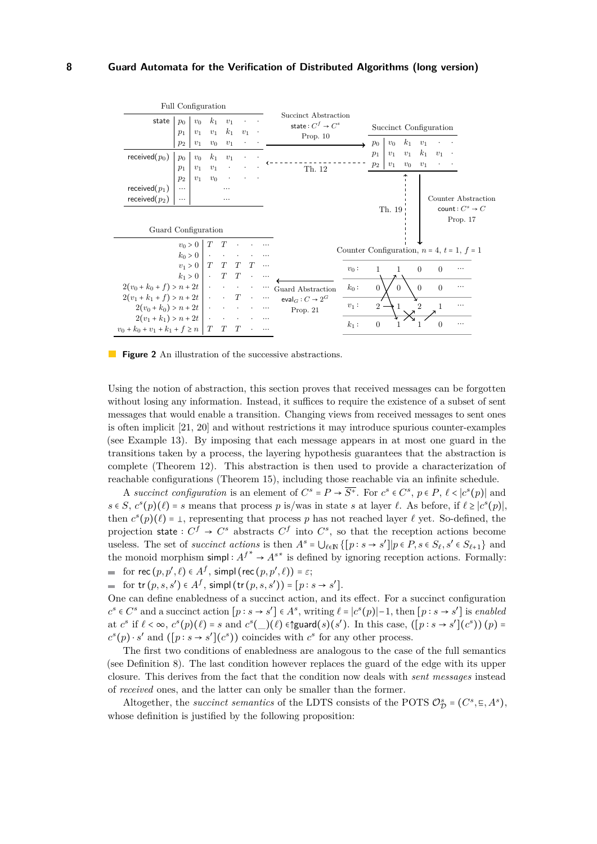

**Figure 2** An illustration of the successive abstractions.

Using the notion of abstraction, this section proves that received messages can be forgotten without losing any information. Instead, it suffices to require the existence of a subset of sent messages that would enable a transition. Changing views from received messages to sent ones is often implicit [21, 20] and without restrictions it may introduce spurious counter-examples (see Example 13). By imposing that each message appears in at most one guard in the transitions taken by a process, the layering hypothesis guarantees that the abstraction is complete (Theorem 12). This abstraction is then used to provide a characterization of reachable configurations (Theorem 15), including those reachable via an infinite schedule.

A *succinct configuration* is an element of  $C^s = P \to \overline{S^+}$ . For  $c^s \in C^s$ ,  $p \in P$ ,  $\ell < |c^s(p)|$  and  $s \in S$ ,  $c^s(p)(\ell) = s$  means that process *p* is/was in state *s* at layer  $\ell$ . As before, if  $\ell \geq |c^s(p)|$ , then  $c^s(p)(\ell) = \bot$ , representing that process *p* has not reached layer  $\ell$  yet. So-defined, the projection state  $: C^f \to C^s$  abstracts  $C^f$  into  $C^s$ , so that the reception actions become useless. The set of *succinct actions* is then  $A^s = \bigcup_{\ell \in \mathbb{N}} \{ [p : s \to s' ] | p \in P, s \in S_\ell, s' \in S_{\ell+1} \}$  and the monoid morphism simpl:  $A^{f^*} \rightarrow A^{s^*}$  is defined by ignoring reception actions. Formally: for  $\text{rec}(p, p', \ell) \in A^f$ , simpl  $(\text{rec}(p, p', \ell)) = \varepsilon$ ;

for  $\text{tr}(p, s, s') \in A^f$ , simpl  $(\text{tr}(p, s, s')) = [p : s \to s']$ .

One can define enabledness of a succinct action, and its effect. For a succinct configuration  $c^s \in C^s$  and a succinct action  $[p : s \to s'] \in A^s$ , writing  $\ell = |c^s(p)|-1$ , then  $[p : s \to s']$  is enabled at  $c^s$  if  $\ell < \infty$ ,  $c^s(p)(\ell) = s$  and  $c^s(\ell)$   $(\ell)$   $\varepsilon$  guard $(s)(s')$ . In this case,  $([p:s \to s'](c^s))(p) =$  $c^s(p) \cdot s'$  and  $([p : s \to s'](c^s))$  coincides with  $c^s$  for any other process.

The first two conditions of enabledness are analogous to the case of the full semantics (see Definition 8). The last condition however replaces the guard of the edge with its upper closure. This derives from the fact that the condition now deals with *sent messages* instead of *received* ones, and the latter can only be smaller than the former.

Altogether, the *succinct semantics* of the LDTS consists of the POTS  $\mathcal{O}_{\mathcal{D}}^s = (C^s, \Xi, A^s)$ , whose definition is justified by the following proposition: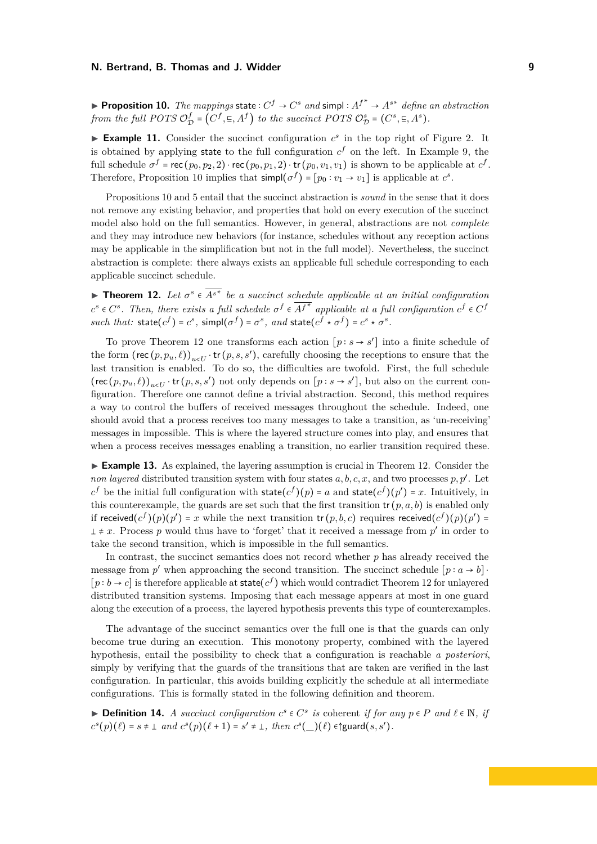▶ **Proposition 10.** *The mappings* state  $: C^f \rightarrow C^s$  *and* simpl  $: A^{f^*} \rightarrow A^{s^*}$  *define an abstraction from the full POTS* O *f*  $\mathcal{D}^f_{\mathcal{D}} = (C^f, \Xi, A^f)$  *to the succinct POTS*  $\mathcal{O}_{\mathcal{D}}^s = (C^s, \Xi, A^s)$ *.* 

**Example 11.** Consider the succinct configuration  $c^s$  in the top right of Figure 2. It is obtained by applying state to the full configuration  $c<sup>f</sup>$  on the left. In Example 9, the full schedule  $\sigma^f = \text{rec}(p_0, p_2, 2) \cdot \text{rec}(p_0, p_1, 2) \cdot \text{tr}(p_0, v_1, v_1)$  is shown to be applicable at  $c^f$ . Therefore, Proposition 10 implies that  $\textsf{simp}(\sigma^f) = [p_0 : v_1 \to v_1]$  is applicable at  $c^s$ .

Propositions 10 and 5 entail that the succinct abstraction is *sound* in the sense that it does not remove any existing behavior, and properties that hold on every execution of the succinct model also hold on the full semantics. However, in general, abstractions are not *complete* and they may introduce new behaviors (for instance, schedules without any reception actions may be applicable in the simplification but not in the full model). Nevertheless, the succinct abstraction is complete: there always exists an applicable full schedule corresponding to each applicable succinct schedule.

**► Theorem 12.** Let  $\sigma^s \in \overline{A^{s^*}}$  be a succinct schedule applicable at an initial configuration  $c^s \in C^s$ . Then, there exists a full schedule  $\sigma^f \in \overline{A^{f^*}}$  applicable at a full configuration  $c^f \in C^f$ such that:  $\text{state}(c^f) = c^s$ ,  $\text{simple}(\sigma^f) = \sigma^s$ , and  $\text{state}(c^f \star \sigma^f) = c^s \star \sigma^s$ .

To prove Theorem 12 one transforms each action  $[p : s \rightarrow s']$  into a finite schedule of the form  $(\text{rec}(p, p_u, \ell))_{u \leq U} \cdot \text{tr}(p, s, s')$ , carefully choosing the receptions to ensure that the last transition is enabled. To do so, the difficulties are twofold. First, the full schedule  $(\text{rec}(p, p_u, \ell))_{u \leq U}$  **tr**  $(p, s, s')$  not only depends on  $[p : s \to s']$ , but also on the current configuration. Therefore one cannot define a trivial abstraction. Second, this method requires a way to control the buffers of received messages throughout the schedule. Indeed, one should avoid that a process receives too many messages to take a transition, as 'un-receiving' messages in impossible. This is where the layered structure comes into play, and ensures that when a process receives messages enabling a transition, no earlier transition required these.

▶ **Example 13.** As explained, the layering assumption is crucial in Theorem 12. Consider the *non layered* distributed transition system with four states  $a, b, c, x$ , and two processes  $p, p'$ . Let  $c^f$  be the initial full configuration with state( $c^f$ )( $p$ ) = *a* and state( $c^f$ )( $p'$ ) = *x*. Intuitively, in this counterexample, the guards are set such that the first transition  $tr (p, a, b)$  is enabled only if received $(c^f)(p)(p') = x$  while the next transition tr  $(p, b, c)$  requires received $(c^f)(p)(p')$  $\pm x$ . Process *p* would thus have to 'forget' that it received a message from *p*' in order to take the second transition, which is impossible in the full semantics.

In contrast, the succinct semantics does not record whether *p* has already received the message from *p*<sup>*'*</sup> when approaching the second transition. The succinct schedule  $[p : a \rightarrow b]$  $[p:b \rightarrow c]$  is therefore applicable at state $(c^f)$  which would contradict Theorem 12 for unlayered distributed transition systems. Imposing that each message appears at most in one guard along the execution of a process, the layered hypothesis prevents this type of counterexamples.

The advantage of the succinct semantics over the full one is that the guards can only become true during an execution. This monotony property, combined with the layered hypothesis, entail the possibility to check that a configuration is reachable *a posteriori*, simply by verifying that the guards of the transitions that are taken are verified in the last configuration. In particular, this avoids building explicitly the schedule at all intermediate configurations. This is formally stated in the following definition and theorem.

**► Definition 14.** *A succinct configuration*  $c^s \in C^s$  *is* coherent *if for any*  $p \in P$  *and*  $\ell \in \mathbb{N}$ *, if*  $\leq \ell \leq \ell$  $c^{s}(p)(\ell) = s \neq \bot \text{ and } c^{s}(p)(\ell + 1) = s' \neq \bot, \text{ then } c^{s}(\_)(\ell) \in \text{Squard}(s, s').$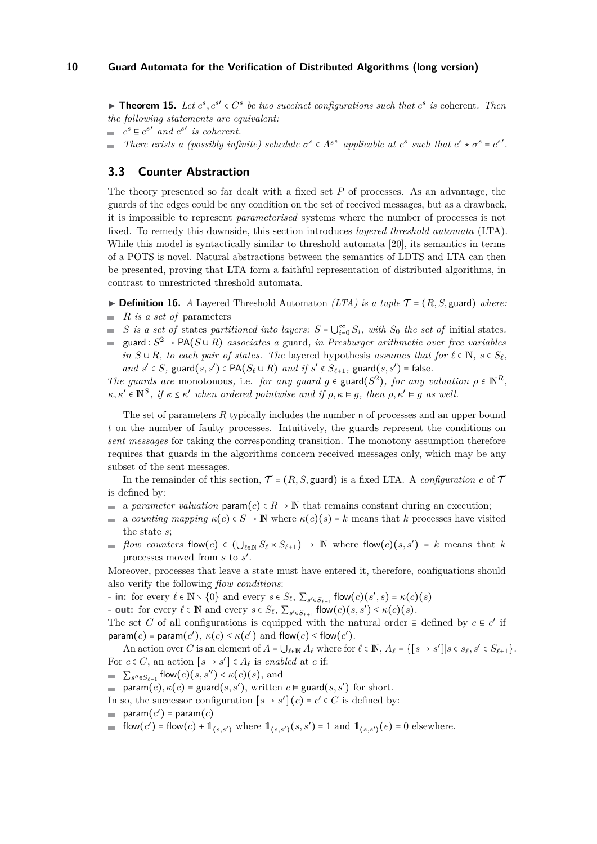▶ **Theorem 15.** *Let*  $c^s$ ,  $c^{s'} \in C^s$  *be two succinct configurations such that*  $c^s$  *is* coherent. Then *the following statements are equivalent:*

 $c^s \n\subseteq c^{s'}$  and  $c^{s'}$  is coherent.

*There exists a (possibly infinite) schedule*  $\sigma^s \in \overline{A^{s^*}}$  applicable at  $c^s$  such that  $c^s \star \sigma^s = c^{s'}$ .  $\sim$ 

### **3.3 Counter Abstraction**

The theory presented so far dealt with a fixed set *P* of processes. As an advantage, the guards of the edges could be any condition on the set of received messages, but as a drawback, it is impossible to represent *parameterised* systems where the number of processes is not fixed. To remedy this downside, this section introduces *layered threshold automata* (LTA). While this model is syntactically similar to threshold automata [20], its semantics in terms of a POTS is novel. Natural abstractions between the semantics of LDTS and LTA can then be presented, proving that LTA form a faithful representation of distributed algorithms, in contrast to unrestricted threshold automata.

- $\triangleright$  **Definition 16.** *A* Layered Threshold Automaton *(LTA) is a tuple*  $\mathcal{T} = (R, S, \text{guard})$  *where:*
- $R$  *is a set of* parameters
- *S* is a set of states partitioned into layers:  $S = \bigcup_{i=0}^{\infty} S_i$ , with  $S_0$  the set of initial states.
- $\text{grad}: S^2 \to \text{PA}(S \cup R)$  *associates a* guard*, in Presburger arithmetic over free variables in*  $S \cup R$ *, to each pair of states. The layered hypothesis <i>assumes that for*  $\ell \in \mathbb{N}$ *, s*  $\in S_{\ell}$ *, and*  $s' \in S$ *,* guard( $s, s'$ ) ∈ PA( $S_\ell \cup R$ ) *and if*  $s' \notin S_{\ell+1}$ *,* guard( $s, s'$ ) = false*.*

*The guards are* monotonous, i.e. *for any guard*  $g \in \text{guard}(S^2)$ , *for any valuation*  $\rho \in \mathbb{N}^R$ ,  $\kappa, \kappa' \in \mathbb{N}^S$ , if  $\kappa \leq \kappa'$  when ordered pointwise and if  $\rho, \kappa \models g$ , then  $\rho, \kappa' \models g$  as well.

The set of parameters *R* typically includes the number n of processes and an upper bound *t* on the number of faulty processes. Intuitively, the guards represent the conditions on *sent messages* for taking the corresponding transition. The monotony assumption therefore requires that guards in the algorithms concern received messages only, which may be any subset of the sent messages.

In the remainder of this section,  $\mathcal{T} = (R, S, \text{guard})$  is a fixed LTA. A *configuration*  $c$  of  $\mathcal{T}$ is defined by:

- a parameter valuation param $(c) \in R \to \mathbb{N}$  that remains constant during an execution;
- a *counting mapping*  $\kappa(c) \in S \to \mathbb{N}$  where  $\kappa(c)(s) = k$  means that *k* processes have visited  $\sim$ the state *s*;
- *flow counters* flow(*c*)  $\in$   $(\bigcup_{\ell \in \mathbb{N}} S_{\ell} \times S_{\ell+1}) \rightarrow \mathbb{N}$  where flow(*c*)(*s, s'*) = *k* means that *k* processes moved from *s* to *s* ′ .

Moreover, processes that leave a state must have entered it, therefore, configuations should also verify the following *flow conditions*:

**-** in: for every  $\ell \in \mathbb{N} \setminus \{0\}$  and every  $s \in S_{\ell}, \sum_{s' \in S_{\ell-1}} \mathsf{flow}(c)(s', s) = \kappa(c)(s')$ 

**- out:** for every  $\ell \in \mathbb{N}$  and every  $s \in S_{\ell}, \sum_{s' \in S_{\ell+1}} \text{flow}(c)(s, s') \leq \kappa(c)(s).$ 

The set *C* of all configurations is equipped with the natural order  $\subseteq$  defined by  $c \subseteq c'$  if  $\mathsf{param}(c) = \mathsf{param}(c'), \ \kappa(c) \leq \kappa(c') \text{ and } \mathsf{flow}(c) \leq \mathsf{flow}(c').$ 

An action over *C* is an element of  $A = \bigcup_{\ell \in \mathbb{N}} A_\ell$  where for  $\ell \in \mathbb{N}$ ,  $A_\ell = \{ [s \to s'] | s \in s_\ell, s' \in S_{\ell+1} \}$ . For  $c \in C$ , an action  $[s \to s'] \in A_{\ell}$  is *enabled* at *c* if:

 $\sum_{s'' \in S_{\ell+1}} \text{flow}(c)(s, s'') < \kappa(c)(s)$ , and

 $\text{param}(c)$ ,  $\kappa(c)$  ⊨ guard $(s, s')$ , written  $c$  ⊨ guard $(s, s')$  for short.

- In so, the successor configuration  $[s \to s']$   $(c) = c' \in C$  is defined by:
- $\mathsf{param}(c') = \mathsf{param}(c)$
- flow(*c'*) = flow(*c*) +  $1_{(s,s')}$  where  $1_{(s,s')}(s,s') = 1$  and  $1_{(s,s')}(e) = 0$  elsewhere.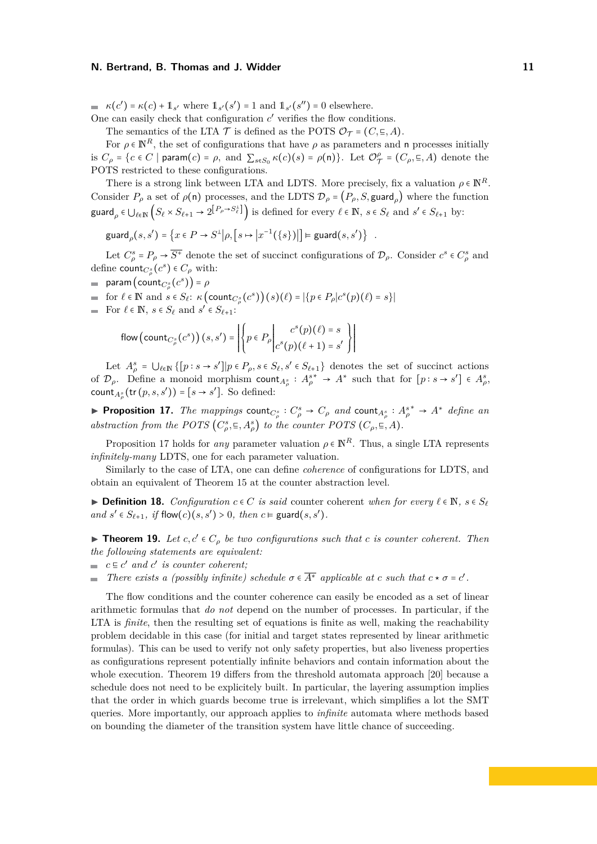### **N. Bertrand, B. Thomas and J. Widder 11 11 11 11 11 11**

 $\kappa(c') = \kappa(c) + 1$ <sub>s</sub>' where  $1_{s'}(s') = 1$  and  $1_{s'}(s'') = 0$  elsewhere.

One can easily check that configuration  $c'$  verifies the flow conditions.

The semantics of the LTA  $\mathcal T$  is defined as the POTS  $\mathcal O_{\mathcal T} = (C, \Xi, A)$ .

For  $\rho \in \mathbb{N}^R$ , the set of configurations that have  $\rho$  as parameters and n processes initially is  $C_{\rho} = \{c \in C \mid \text{param}(c) = \rho, \text{ and } \sum_{s \in S_0} \kappa(c)(s) = \rho(\mathsf{n})\}.$  Let  $\mathcal{O}_{\mathcal{I}}^{\rho}$  $\mathcal{T} = (C_{\rho}, \mathbf{E}, A)$  denote the POTS restricted to these configurations.

There is a strong link between LTA and LDTS. More precisely, fix a valuation  $\rho \in \mathbb{N}^R$ . Consider  $P_\rho$  a set of  $\rho(\mathsf{n})$  processes, and the LDTS  $\mathcal{D}_\rho = (P_\rho, S, \text{guard}_\rho)$  where the function  $\mathsf{guard}_\rho \in \bigcup_{\ell \in \mathbb{N}} \left( S_\ell \times S_{\ell+1} \to 2^{\lfloor P_\rho \to S^{\perp}_\ell \rfloor} \right)$  is defined for every  $\ell \in \mathbb{N}, s \in S_\ell \text{ and } s' \in S_{\ell+1}$  by:

$$
\text{guard}_{\rho}(s, s') = \left\{ x \in P \to S^{\perp} | \rho, \left[ s \mapsto \left| x^{-1}(\left\{ s \right\} \right) \right| \right\} = \text{guard}(s, s') \right\} .
$$

Let  $C_{\rho}^{s} = P_{\rho} \rightarrow \overline{S^{+}}$  denote the set of succinct configurations of  $\mathcal{D}_{\rho}$ . Consider  $c^{s} \in C_{\rho}^{s}$  and define  $\text{count}_{C^s_{\rho}}(c^s) \in C_{\rho}$  with:

 $\mathsf{param}\left(\mathsf{count}_{C^s_{\rho}}(c^s)\right) = \rho$ 

for  $\ell \in \mathbb{N}$  and  $s \in S_{\ell}: \kappa(\text{count}_{C_{\rho}^s}(c^s))(s)(\ell) = |\{p \in P_{\rho}|c^s(p)(\ell) = s\}|$ 

For  $\ell \in \mathbb{N}$ ,  $s \in S_{\ell}$  and  $s' \in S_{\ell+1}$ :

flow (count<sub>C<sup>s</sup></sub>(c<sup>s</sup>))(s, s') = 
$$
\left\{ p \in P_{\rho} \middle| c^{s}(p)(\ell) = s \atop c^{s}(p)(\ell+1) = s' \right\}
$$

Let  $A_{\rho}^{s} = \bigcup_{\ell \in \mathbb{N}} \{ [p : s \to s'] | p \in P_{\rho}, s \in S_{\ell}, s' \in S_{\ell+1} \}$  denotes the set of succinct actions of  $\mathcal{D}_{\rho}$ . Define a monoid morphism count<sub>*A<sub><sup>g</sub>*</sup></sub> :  $A_{\rho}^{s^*} \to A^*$  such that for  $[p : s \to s'] \in A_{\rho}^{s}$ ,</sub> count<sub>*A*<sup>*g*</sup></sup> (tr  $(p, s, s')) = [s \rightarrow s']$ . So defined:</sub>

▶ Proposition 17. The mappings count<sub> $C^s_\rho$ </sub> :  $C^s_\rho \to C_\rho$  and count<sub> $A^s_\rho$ </sub> :  $A^{s*}_\rho \to A^*$  define an *abstraction from the POTS*  $(C_{\rho}^{s}, \Xi, A_{\rho}^{s})$  *to the counter POTS*  $(C_{\rho}, \Xi, A)$ *.* 

Proposition 17 holds for *any* parameter valuation  $\rho \in \mathbb{N}^R$ . Thus, a single LTA represents *infinitely-many* LDTS, one for each parameter valuation.

Similarly to the case of LTA, one can define *coherence* of configurations for LDTS, and obtain an equivalent of Theorem 15 at the counter abstraction level.

▶ **Definition 18.** *Configuration*  $c \in C$  *is said* counter coherent *when for every*  $\ell \in \mathbb{N}$ *, s* ∈  $S_{\ell}$ *and*  $s' \in S_{\ell+1}$ *, if*  $flow(c)(s, s') > 0$ *, then*  $c \vDash$  guard $(s, s')$ *.* 

▶ **Theorem 19.** *Let*  $c, c' \in C_\rho$  *be two configurations such that*  $c$  *is counter coherent. Then the following statements are equivalent:*

- $c \in c'$  *and*  $c'$  *is counter coherent;*
- *There exists a (possibly infinite) schedule*  $\sigma \in \overline{A^*}$  *applicable at c such that*  $c * \sigma = c'$ *.*  $\equiv$

The flow conditions and the counter coherence can easily be encoded as a set of linear arithmetic formulas that *do not* depend on the number of processes. In particular, if the LTA is *finite*, then the resulting set of equations is finite as well, making the reachability problem decidable in this case (for initial and target states represented by linear arithmetic formulas). This can be used to verify not only safety properties, but also liveness properties as configurations represent potentially infinite behaviors and contain information about the whole execution. Theorem 19 differs from the threshold automata approach [20] because a schedule does not need to be explicitely built. In particular, the layering assumption implies that the order in which guards become true is irrelevant, which simplifies a lot the SMT queries. More importantly, our approach applies to *infinite* automata where methods based on bounding the diameter of the transition system have little chance of succeeding.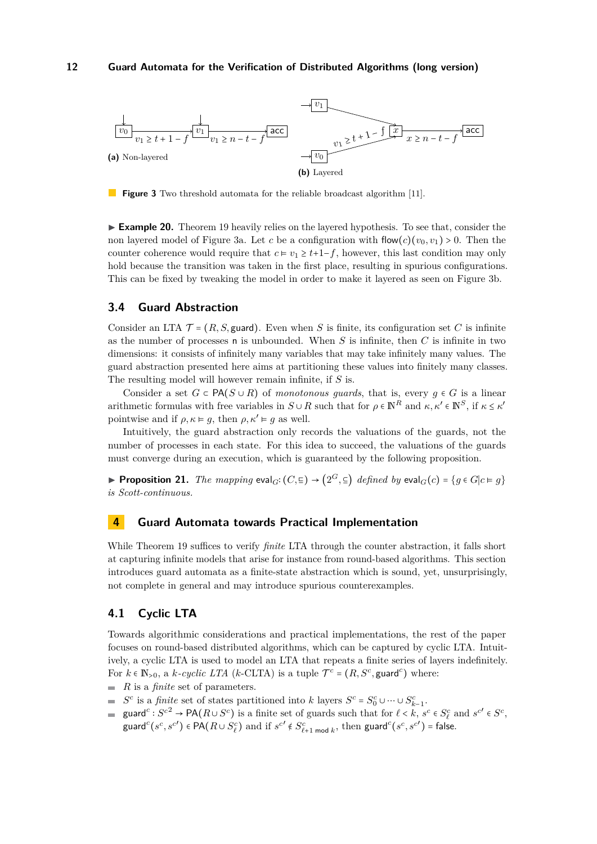

**Figure 3** Two threshold automata for the reliable broadcast algorithm [11].

► **Example 20.** Theorem 19 heavily relies on the layered hypothesis. To see that, consider the non layered model of Figure 3a. Let *c* be a configuration with flow $(c)(v_0, v_1) > 0$ . Then the counter coherence would require that  $c \models v_1 \geq t+1-f$ , however, this last condition may only hold because the transition was taken in the first place, resulting in spurious configurations. This can be fixed by tweaking the model in order to make it layered as seen on Figure 3b.

## **3.4 Guard Abstraction**

Consider an LTA  $\mathcal{T} = (R, S, \text{guard})$ . Even when S is finite, its configuration set C is infinite as the number of processes n is unbounded. When *S* is infinite, then *C* is infinite in two dimensions: it consists of infinitely many variables that may take infinitely many values. The guard abstraction presented here aims at partitioning these values into finitely many classes. The resulting model will however remain infinite, if *S* is.

Consider a set  $G \subset \mathsf{PA}(S \cup R)$  of *monotonous quards*, that is, every  $q \in G$  is a linear arithmetic formulas with free variables in  $S \cup R$  such that for  $\rho \in \mathbb{N}^R$  and  $\kappa, \kappa' \in \mathbb{N}^S$ , if  $\kappa \leq \kappa'$ pointwise and if  $\rho, \kappa \models q$ , then  $\rho, \kappa' \models q$  as well.

Intuitively, the guard abstraction only records the valuations of the guards, not the number of processes in each state. For this idea to succeed, the valuations of the guards must converge during an execution, which is guaranteed by the following proposition.

▶ **Proposition 21.** *The mapping*  $eval_G$ **:**  $(C, \subseteq)$  →  $(2^G, \subseteq)$  *defined by*  $eval_G(c) = \{g \in G | c \in g\}$ *is Scott-continuous.*

## **4 Guard Automata towards Practical Implementation**

While Theorem 19 suffices to verify *finite* LTA through the counter abstraction, it falls short at capturing infinite models that arise for instance from round-based algorithms. This section introduces guard automata as a finite-state abstraction which is sound, yet, unsurprisingly, not complete in general and may introduce spurious counterexamples.

## **4.1 Cyclic LTA**

Towards algorithmic considerations and practical implementations, the rest of the paper focuses on round-based distributed algorithms, which can be captured by cyclic LTA. Intuitively, a cyclic LTA is used to model an LTA that repeats a finite series of layers indefinitely. For  $k \in \mathbb{N}_{>0}$ , a  $k$ *-cyclic LTA* ( $k$ -CLTA) is a tuple  $\mathcal{T}^c = (R, S^c, \text{guard}^c)$  where:

- *R* is a *finite* set of parameters.
- $S^c$  is a *finite* set of states partitioned into *k* layers  $S^c = S_0^c \cup \cdots \cup S_{k-1}^c$ .
- guard<sup>c</sup> :  $S^{c^2} \to PA(R \cup S^c)$  is a finite set of guards such that for  $\ell < k$ ,  $s^c \in S^c_\ell$  and  $s^{c'} \in S^c$ , guard<sup>c</sup>( $s^c, s^{c'}$ )  $\in$  PA( $R \cup S_{\ell}^c$ ) and if  $s^{c'} \notin S_{\ell+1 \text{ mod } k}^c$ , then guard<sup>c</sup>( $s^c, s^{c'}$ ) = false.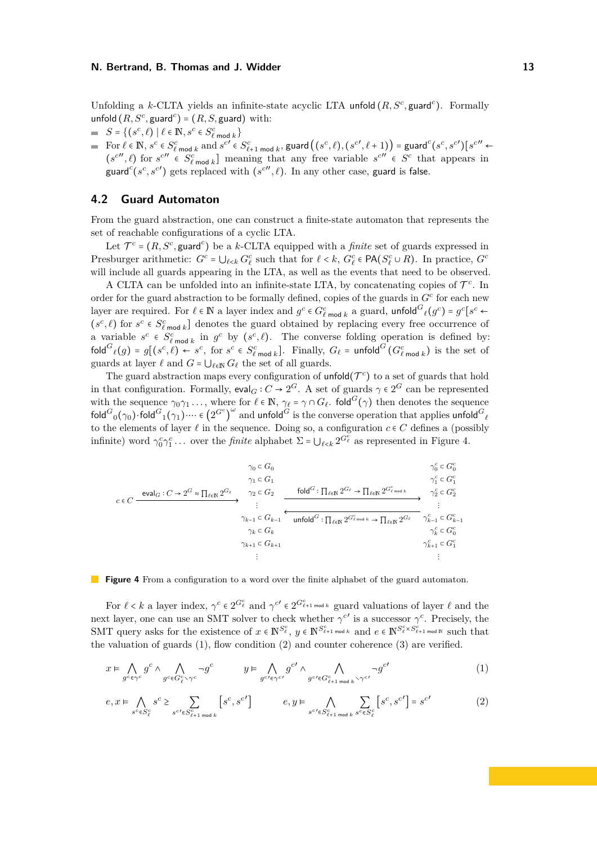Unfolding a *k*-CLTA yields an infinite-state acyclic LTA unfold  $(R, S^c, \text{guard}^c)$ . Formally unfold  $(R, S^c, \text{guard}^c) = (R, S, \text{guard})$  with:

- $S = \{ (s^c, \ell) \mid \ell \in \mathbb{N}, s^c \in S_{\ell \text{ mod } k}^c \}$
- $\begin{aligned} &\text{For } \ell \in \mathbb{N}, s^c \in S^c_{\ell} \text{ mod } k \text{ and } s^{c'} \in S^c_{\ell+1} \text{ mod } k \text{,} \end{aligned}$  $(s^{c''}, \ell)$  for  $s^{c''} \in S_{\ell \text{ mod } k}^c$  meaning that any free variable  $s^{c''} \in S^c$  that appears in guard<sup>c</sup>( $s^c$ , $s^{c'}$ ) gets replaced with ( $s^{c''}, \ell$ ). In any other case, guard is false.

## **4.2 Guard Automaton**

From the guard abstraction, one can construct a finite-state automaton that represents the set of reachable configurations of a cyclic LTA.

Let  $\mathcal{T}^c = (R, S^c, \text{guard}^c)$  be a *k*-CLTA equipped with a *finite* set of guards expressed in Presburger arithmetic:  $G^c = \bigcup_{\ell \le k} G^c_\ell$  such that for  $\ell \le k$ ,  $G^c_\ell \in \mathsf{PA}(S^c_\ell \cup R)$ . In practice,  $G^c$ will include all guards appearing in the LTA, as well as the events that need to be observed.

A CLTA can be unfolded into an infinite-state LTA, by concatenating copies of  $\mathcal{T}^c$ . In order for the guard abstraction to be formally defined, copies of the guards in *G<sup>c</sup>* for each new layer are required. For  $\ell \in \mathbb{N}$  a layer index and  $g^c \in G^c_{\ell \text{ mod } k}$  a guard, unfold  $G_{\ell}(g^c) = g^c[s^c \leftarrow$  $(s^c, \ell)$  for  $s^c \in S_{\ell \text{ mod } k}^c$  denotes the guard obtained by replacing every free occurrence of a variable  $s^c \in S^c_{\ell \text{ mod } k}$  in  $g^c$  by  $(s^c, \ell)$ . The converse folding operation is defined by: fold  ${}^G\ell(g) = g[(s^c, \ell) \leftarrow s^c,$  for  $s^c \in S^c_{\ell \bmod k}$ . Finally,  $G_\ell = \text{unfold}^G(G^c_{\ell \bmod k})$  is the set of guards at layer  $\ell$  and  $G = \bigcup_{\ell \in \mathbb{N}} G_{\ell}$  the set of all guards.

The guard abstraction maps every configuration of **unfold**( $\mathcal{T}^c$ ) to a set of guards that hold in that configuration. Formally,  $\text{eval}_G : C \to 2^G$ . A set of guards  $\gamma \in 2^G$  can be represented with the sequence  $\gamma_0\gamma_1 \ldots$ , where for  $\ell \in \mathbb{N}$ ,  $\gamma_\ell = \gamma \cap G_\ell$ . fold $^G(\gamma)$  then denotes the sequence  $\mathsf{fold}^G_0(\gamma_0) \cdot \mathsf{fold}^G_1(\gamma_1) \cdots \in \left(2^{G^c}\right)$  $\overline{\phantom{a}}$ <sup>*ω*</sup> and **unfold**<sup>*G*</sup> is the converse operation that applies **unfold**<sup>*G*</sup><sub>*l*</sub> to the elements of layer  $\ell$  in the sequence. Doing so, a configuration  $c \in C$  defines a (possibly infinite) word  $\gamma_0^c \gamma_1^c \dots$  over the *finite* alphabet  $\Sigma = \bigcup_{\ell \le k} 2^{G_\ell^c}$  as represented in Figure 4.

$$
\gamma_0 \subset G_0
$$
\n
$$
\gamma_1 \subset G_1
$$
\n
$$
c \in C
$$
\n
$$
\xrightarrow{\text{eval}_G : C \to 2^G \approx \prod_{\ell \in \mathbb{N}} 2^{G_{\ell}}}, \quad \gamma_2 \subset G_2
$$
\n
$$
\xrightarrow{\text{val}_G : C \to 2^G \approx \prod_{\ell \in \mathbb{N}} 2^{G_{\ell}}}, \quad \gamma_1 \subset G_1
$$
\n
$$
\xrightarrow{\text{val}_G : C \to 2^G \approx \prod_{\ell \in \mathbb{N}} 2^{G_{\ell}}}, \quad \gamma_2 \subset G_2
$$
\n
$$
\xrightarrow{\text{val}_G : C \to 2^G \approx \prod_{\ell \in \mathbb{N}} 2^{G_{\ell}} \to \prod_{\ell \in \mathbb{N}} 2^{G_{\ell} \times \prod_{\ell \in \mathbb{N}} 2^{G_{\ell} \times \prod_{\ell \in \mathbb{N}} 2^{G_{\ell}}}}}, \quad \gamma_2^c \subset G_2^c
$$
\n
$$
\xrightarrow{\text{val}_G : C \to 2^G \approx \prod_{\ell \in \mathbb{N}} 2^{G_{\ell}} \to \prod_{\ell \in \mathbb{N}} 2^{G_{\ell} \times \prod_{\ell \in \mathbb{N}} 2^{G_{\ell}}}, \quad \gamma_2^c \subset G_2^c
$$
\n
$$
\gamma_{k-1} \subset G_{k-1}
$$
\n
$$
\xrightarrow{\text{val}_G : C \to 2^G \approx \prod_{\ell \in \mathbb{N}} 2^{G_{\ell}} \to \prod_{\ell \in \mathbb{N}} 2^{G_{\ell} \times \prod_{\ell \in \mathbb{N}} 2^{G_{\ell}}}
$$
\n
$$
\xrightarrow{\text{val}_G : C \to 2^G \approx \prod_{\ell \in \mathbb{N}} 2^{G_{\ell}}
$$
\n
$$
\xrightarrow{\text{val}_G : C \to 2^G \approx \prod_{\ell \in \mathbb{N}} 2^{G_{\ell}} \to \prod_{\ell \in \mathbb{N}} 2^{G_{\ell} \times \prod_{\ell \in \mathbb{N}} 2^{G_{\ell}}}
$$
\n
$$
\xrightarrow{\text{val}_G : C \to 2^G \approx \
$$

### **Figure 4** From a configuration to a word over the finite alphabet of the guard automaton.

For  $\ell < k$  a layer index,  $\gamma^c \in 2^{G^c_{\ell}}$  and  $\gamma^{c'} \in 2^{G^c_{\ell+1 \text{ mod } k}}$  guard valuations of layer  $\ell$  and the next layer, one can use an SMT solver to check whether  $\gamma^{c'}$  is a successor  $\gamma^c$ . Precisely, the SMT query asks for the existence of  $x \in \mathbb{N}^{S_e^c}$ ,  $y \in \mathbb{N}^{S_{\ell+1}^c \text{ mod } k}$  and  $e \in \mathbb{N}^{S_{\ell}^c \times S_{\ell+1}^c \text{ mod } N}$  such that the valuation of guards  $(1)$ , flow condition  $(2)$  and counter coherence  $(3)$  are verified.

$$
x \vDash \bigwedge_{g \circ \in \gamma^c} g^c \land \bigwedge_{g \circ \in G^c_{\ell} \land \gamma^c} \neg g^c \qquad y \vDash \bigwedge_{g \circ \prime \in \gamma^c} g^{c'} \land \bigwedge_{g \circ \prime \in G^c_{\ell+1 \text{ mod } k} \land \gamma^{c'}} \neg g^{c'} \qquad (1)
$$

$$
e, x \vDash \bigwedge_{s^c \in S_\ell^c} s^c \ge \sum_{s^{c'} \in S_{\ell+1 \bmod k}^c} \left[ s^c, s^{c'} \right] \qquad e, y \vDash \bigwedge_{s^{c'} \in S_{\ell+1 \bmod k}^c} \sum_{s^c \in S_\ell^c} \left[ s^c, s^{c'} \right] = s^{c'} \qquad (2)
$$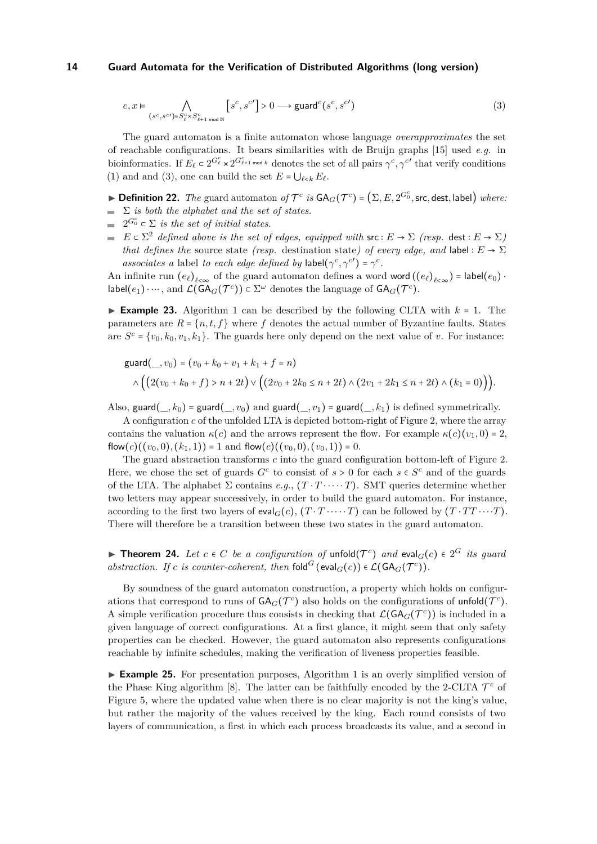$$
e, x \vDash \bigwedge_{(s^c, s^{c'}) \in S^c_{\ell} \times S^c_{\ell+1 \bmod N}} [s^c, s^{c'}] > 0 \longrightarrow \text{guard}^c(s^c, s^{c'})
$$
\n
$$
(3)
$$

The guard automaton is a finite automaton whose language *overapproximates* the set of reachable configurations. It bears similarities with de Bruijn graphs [15] used *e.g.* in bioinformatics. If  $E_{\ell} \subset 2^{G_{\ell}^c} \times 2^{G_{\ell+1}^c \mod k}$  denotes the set of all pairs  $\gamma^c, \gamma^{c'}$  that verify conditions (1) and and (3), one can build the set  $E = \bigcup_{\ell \leq k} E_{\ell}$ .

▶ **Definition 22.** *The* guard automaton *of*  $\mathcal{T}^c$  *is*  $GA_G(\mathcal{T}^c) = (\Sigma, E, 2^{G_0^c}, \text{src}, \text{dest}, \text{label})$  *where:*  $\sum$  *is both the alphabet and the set of states.* 

- $2^{G_0^c} \subset \Sigma$  *is the set of initial states.*
- $\blacksquare$  $E \subset \Sigma^2$  *defined above is the set of edges, equipped with*  $\mathsf{src} : E \to \Sigma$  *(resp.* dest  $: E \to \Sigma$ ) *that defines the* source state *(resp.* destination state) of every edge, and label :  $E \rightarrow \Sigma$ *associates a* label *to each edge defined by* label( $\gamma^c, \gamma^{c'}$ ) =  $\gamma^c$ .

An infinite run  $(e_{\ell})_{\ell \leq \infty}$  of the guard automaton defines a word word  $((e_{\ell})_{\ell \leq \infty})$  = label $(e_0)$  $\textsf{label}(e_1) \cdot \cdots$ , and  $\mathcal{L}(\textsf{GA}_G(\mathcal{T}^c)) \subset \Sigma^\omega$  denotes the language of  $\textsf{GA}_G(\mathcal{T}^c)$ .

**Example 23.** Algorithm 1 can be described by the following CLTA with  $k = 1$ . The parameters are  $R = \{n, t, f\}$  where f denotes the actual number of Byzantine faults. States are  $S^c = \{v_0, k_0, v_1, k_1\}$ . The guards here only depend on the next value of *v*. For instance:

$$
\text{guard}(\_, v_0) = (v_0 + k_0 + v_1 + k_1 + f = n)
$$
\n
$$
\land \Big( \Big( 2(v_0 + k_0 + f) > n + 2t \Big) \lor \Big( (2v_0 + 2k_0 \le n + 2t) \land (2v_1 + 2k_1 \le n + 2t) \land (k_1 = 0) \Big) \Big).
$$

Also, guard( $_k$ ) = guard( $_k$ ,  $v_0$ ) and guard( $_k$ ,  $v_1$ ) = guard( $_k$ ,  $k_1$ ) is defined symmetrically.

A configuration *c* of the unfolded LTA is depicted bottom-right of Figure 2, where the array contains the valuation  $\kappa(c)$  and the arrows represent the flow. For example  $\kappa(c)(v_1, 0) = 2$ ,  $flow(c)((v_0, 0), (k_1, 1)) = 1$  and  $flow(c)((v_0, 0), (v_0, 1)) = 0$ .

The guard abstraction transforms *c* into the guard configuration bottom-left of Figure 2. Here, we chose the set of guards  $G^c$  to consist of  $s > 0$  for each  $s \in S^c$  and of the guards of the LTA. The alphabet  $\Sigma$  contains *e.g.*,  $(T \cdot T \cdot \cdots \cdot T)$ . SMT queries determine whether two letters may appear successively, in order to build the guard automaton. For instance, according to the first two layers of eval<sub>*G*</sub>(*c*),  $(T \cdot T \cdots T)$  can be followed by  $(T \cdot TT \cdots T)$ . There will therefore be a transition between these two states in the guard automaton.

**► Theorem 24.** Let  $c \in C$  be a configuration of unfold $(T^c)$  and  $eval_G(c) \in 2^G$  its guard *abstraction. If c is counter-coherent, then*  $\text{fold}^G$  ( $\text{eval}_G(c)$ )  $\in \mathcal{L}(\text{GA}_G(\mathcal{T}^c))$ .

By soundness of the guard automaton construction, a property which holds on configurations that correspond to runs of  $GA_G(\mathcal{T}^c)$  also holds on the configurations of unfold $(\mathcal{T}^c)$ . A simple verification procedure thus consists in checking that  $\mathcal{L}(GA_G(\mathcal{T}^c))$  is included in a given language of correct configurations. At a first glance, it might seem that only safety properties can be checked. However, the guard automaton also represents configurations reachable by infinite schedules, making the verification of liveness properties feasible.

▶ **Example 25.** For presentation purposes, Algorithm 1 is an overly simplified version of the Phase King algorithm [8]. The latter can be faithfully encoded by the 2-CLTA  $\mathcal{T}^c$  of Figure 5, where the updated value when there is no clear majority is not the king's value, but rather the majority of the values received by the king. Each round consists of two layers of communication, a first in which each process broadcasts its value, and a second in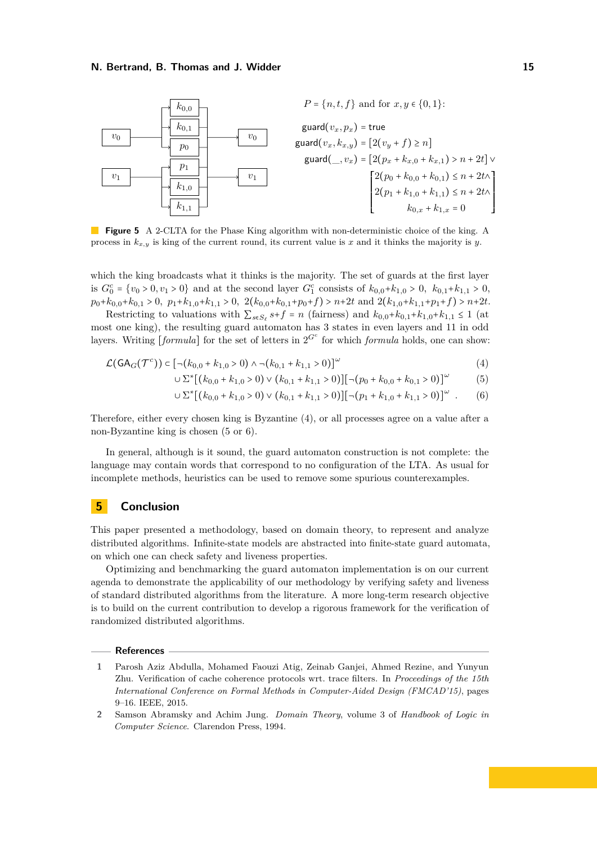

**Figure 5** A 2-CLTA for the Phase King algorithm with non-deterministic choice of the king. A process in *kx,y* is king of the current round, its current value is *x* and it thinks the majority is *y*.

which the king broadcasts what it thinks is the majority. The set of guards at the first layer is  $G_0^c = \{v_0 > 0, v_1 > 0\}$  and at the second layer  $G_1^c$  consists of  $k_{0,0} + k_{1,0} > 0$ ,  $k_{0,1} + k_{1,1} > 0$ ,  $p_0+k_{0,0}+k_{0,1} > 0$ ,  $p_1+k_{1,0}+k_{1,1} > 0$ ,  $2(k_{0,0}+k_{0,1}+p_0+f) > n+2t$  and  $2(k_{1,0}+k_{1,1}+p_1+f) > n+2t$ .

Restricting to valuations with  $\sum_{s \in S_\ell} s + f = n$  (fairness) and  $k_{0,0} + k_{0,1} + k_{1,0} + k_{1,1} \leq 1$  (at most one king), the resulting guard automaton has 3 states in even layers and 11 in odd layers. Writing  $[formula]$  for the set of letters in  $2^{G^c}$  for which *formula* holds, one can show:

$$
\mathcal{L}(GA_G(\mathcal{T}^c)) \subset \left[\neg (k_{0,0} + k_{1,0} > 0) \land \neg (k_{0,1} + k_{1,1} > 0)\right]^{\omega}
$$
\n(4)

$$
\cup \ \Sigma^* \big[ \big( k_{0,0} + k_{1,0} > 0 \big) \lor \big( k_{0,1} + k_{1,1} > 0 \big) \big] \big[ \neg \big( p_0 + k_{0,0} + k_{0,1} > 0 \big) \big]^\omega \tag{5}
$$

$$
\cup \ \Sigma^* \big[ \big( k_{0,0} + k_{1,0} > 0 \big) \vee \big( k_{0,1} + k_{1,1} > 0 \big) \big] \big[ \neg \big( p_1 + k_{1,0} + k_{1,1} > 0 \big) \big]^\omega \ . \tag{6}
$$

Therefore, either every chosen king is Byzantine (4), or all processes agree on a value after a non-Byzantine king is chosen (5 or 6).

In general, although is it sound, the guard automaton construction is not complete: the language may contain words that correspond to no configuration of the LTA. As usual for incomplete methods, heuristics can be used to remove some spurious counterexamples.

## **5 Conclusion**

This paper presented a methodology, based on domain theory, to represent and analyze distributed algorithms. Infinite-state models are abstracted into finite-state guard automata, on which one can check safety and liveness properties.

Optimizing and benchmarking the guard automaton implementation is on our current agenda to demonstrate the applicability of our methodology by verifying safety and liveness of standard distributed algorithms from the literature. A more long-term research objective is to build on the current contribution to develop a rigorous framework for the verification of randomized distributed algorithms.

### **References**

- **1** Parosh Aziz Abdulla, Mohamed Faouzi Atig, Zeinab Ganjei, Ahmed Rezine, and Yunyun Zhu. Verification of cache coherence protocols wrt. trace filters. In *Proceedings of the 15th International Conference on Formal Methods in Computer-Aided Design (FMCAD'15)*, pages 9–16. IEEE, 2015.
- **2** Samson Abramsky and Achim Jung. *Domain Theory*, volume 3 of *Handbook of Logic in Computer Science*. Clarendon Press, 1994.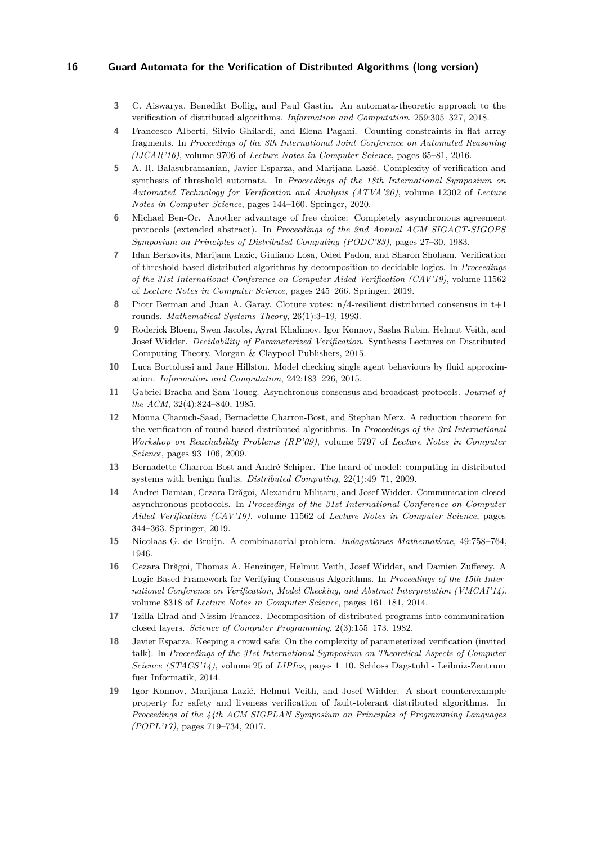- **3** C. Aiswarya, Benedikt Bollig, and Paul Gastin. An automata-theoretic approach to the verification of distributed algorithms. *Information and Computation*, 259:305–327, 2018.
- **4** Francesco Alberti, Silvio Ghilardi, and Elena Pagani. Counting constraints in flat array fragments. In *Proceedings of the 8th International Joint Conference on Automated Reasoning (IJCAR'16)*, volume 9706 of *Lecture Notes in Computer Science*, pages 65–81, 2016.
- **5** A. R. Balasubramanian, Javier Esparza, and Marijana Lazić. Complexity of verification and synthesis of threshold automata. In *Proceedings of the 18th International Symposium on Automated Technology for Verification and Analysis (ATVA'20)*, volume 12302 of *Lecture Notes in Computer Science*, pages 144–160. Springer, 2020.
- **6** Michael Ben-Or. Another advantage of free choice: Completely asynchronous agreement protocols (extended abstract). In *Proceedings of the 2nd Annual ACM SIGACT-SIGOPS Symposium on Principles of Distributed Computing (PODC'83)*, pages 27–30, 1983.
- **7** Idan Berkovits, Marijana Lazic, Giuliano Losa, Oded Padon, and Sharon Shoham. Verification of threshold-based distributed algorithms by decomposition to decidable logics. In *Proceedings of the 31st International Conference on Computer Aided Verification (CAV'19)*, volume 11562 of *Lecture Notes in Computer Science*, pages 245–266. Springer, 2019.
- **8** Piotr Berman and Juan A. Garay. Cloture votes: n/4-resilient distributed consensus in t+1 rounds. *Mathematical Systems Theory*, 26(1):3–19, 1993.
- **9** Roderick Bloem, Swen Jacobs, Ayrat Khalimov, Igor Konnov, Sasha Rubin, Helmut Veith, and Josef Widder. *Decidability of Parameterized Verification*. Synthesis Lectures on Distributed Computing Theory. Morgan & Claypool Publishers, 2015.
- **10** Luca Bortolussi and Jane Hillston. Model checking single agent behaviours by fluid approximation. *Information and Computation*, 242:183–226, 2015.
- **11** Gabriel Bracha and Sam Toueg. Asynchronous consensus and broadcast protocols. *Journal of the ACM*, 32(4):824–840, 1985.
- **12** Mouna Chaouch-Saad, Bernadette Charron-Bost, and Stephan Merz. A reduction theorem for the verification of round-based distributed algorithms. In *Proceedings of the 3rd International Workshop on Reachability Problems (RP'09)*, volume 5797 of *Lecture Notes in Computer Science*, pages 93–106, 2009.
- **13** Bernadette Charron-Bost and André Schiper. The heard-of model: computing in distributed systems with benign faults. *Distributed Computing*, 22(1):49–71, 2009.
- **14** Andrei Damian, Cezara Drăgoi, Alexandru Militaru, and Josef Widder. Communication-closed asynchronous protocols. In *Proceedings of the 31st International Conference on Computer Aided Verification (CAV'19)*, volume 11562 of *Lecture Notes in Computer Science*, pages 344–363. Springer, 2019.
- **15** Nicolaas G. de Bruijn. A combinatorial problem. *Indagationes Mathematicae*, 49:758–764, 1946.
- **16** Cezara Drăgoi, Thomas A. Henzinger, Helmut Veith, Josef Widder, and Damien Zufferey. A Logic-Based Framework for Verifying Consensus Algorithms. In *Proceedings of the 15th International Conference on Verification, Model Checking, and Abstract Interpretation (VMCAI'14)*, volume 8318 of *Lecture Notes in Computer Science*, pages 161–181, 2014.
- **17** Tzilla Elrad and Nissim Francez. Decomposition of distributed programs into communicationclosed layers. *Science of Computer Programming*, 2(3):155–173, 1982.
- **18** Javier Esparza. Keeping a crowd safe: On the complexity of parameterized verification (invited talk). In *Proceedings of the 31st International Symposium on Theoretical Aspects of Computer Science (STACS'14)*, volume 25 of *LIPIcs*, pages 1–10. Schloss Dagstuhl - Leibniz-Zentrum fuer Informatik, 2014.
- **19** Igor Konnov, Marijana Lazić, Helmut Veith, and Josef Widder. A short counterexample property for safety and liveness verification of fault-tolerant distributed algorithms. In *Proceedings of the 44th ACM SIGPLAN Symposium on Principles of Programming Languages (POPL'17)*, pages 719–734, 2017.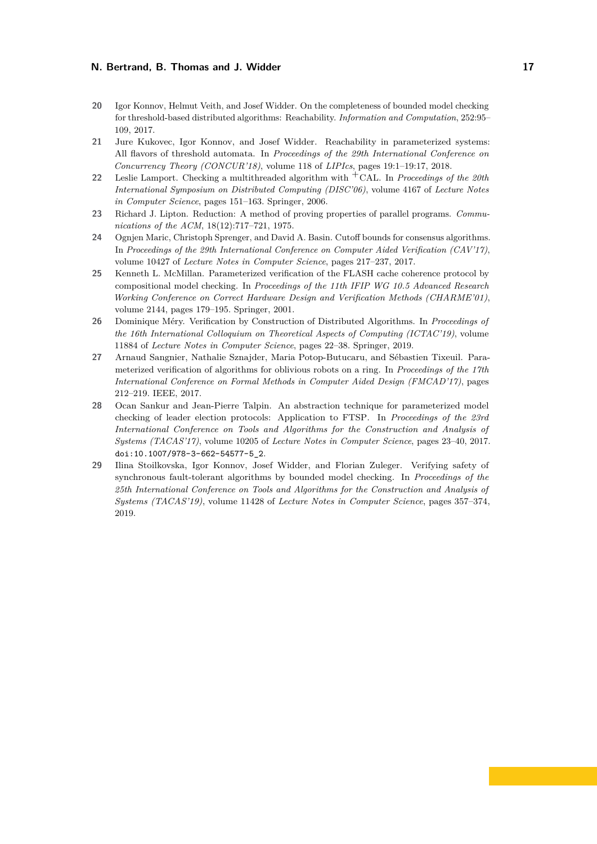- **20** Igor Konnov, Helmut Veith, and Josef Widder. On the completeness of bounded model checking for threshold-based distributed algorithms: Reachability. *Information and Computation*, 252:95– 109, 2017.
- **21** Jure Kukovec, Igor Konnov, and Josef Widder. Reachability in parameterized systems: All flavors of threshold automata. In *Proceedings of the 29th International Conference on Concurrency Theory (CONCUR'18)*, volume 118 of *LIPIcs*, pages 19:1–19:17, 2018.
- **<sup>22</sup>** Leslie Lamport. Checking a multithreaded algorithm with +CAL. In *Proceedings of the 20th International Symposium on Distributed Computing (DISC'06)*, volume 4167 of *Lecture Notes in Computer Science*, pages 151–163. Springer, 2006.
- **23** Richard J. Lipton. Reduction: A method of proving properties of parallel programs. *Communications of the ACM*, 18(12):717–721, 1975.
- **24** Ognjen Maric, Christoph Sprenger, and David A. Basin. Cutoff bounds for consensus algorithms. In *Proceedings of the 29th International Conference on Computer Aided Verification (CAV'17)*, volume 10427 of *Lecture Notes in Computer Science*, pages 217–237, 2017.
- **25** Kenneth L. McMillan. Parameterized verification of the FLASH cache coherence protocol by compositional model checking. In *Proceedings of the 11th IFIP WG 10.5 Advanced Research Working Conference on Correct Hardware Design and Verification Methods (CHARME'01)*, volume 2144, pages 179–195. Springer, 2001.
- **26** Dominique Méry. Verification by Construction of Distributed Algorithms. In *Proceedings of the 16th International Colloquium on Theoretical Aspects of Computing (ICTAC'19)*, volume 11884 of *Lecture Notes in Computer Science*, pages 22–38. Springer, 2019.
- **27** Arnaud Sangnier, Nathalie Sznajder, Maria Potop-Butucaru, and Sébastien Tixeuil. Parameterized verification of algorithms for oblivious robots on a ring. In *Proceedings of the 17th International Conference on Formal Methods in Computer Aided Design (FMCAD'17)*, pages 212–219. IEEE, 2017.
- **28** Ocan Sankur and Jean-Pierre Talpin. An abstraction technique for parameterized model checking of leader election protocols: Application to FTSP. In *Proceedings of the 23rd International Conference on Tools and Algorithms for the Construction and Analysis of Systems (TACAS'17)*, volume 10205 of *Lecture Notes in Computer Science*, pages 23–40, 2017. [doi:10.1007/978-3-662-54577-5\\_2](https://doi.org/10.1007/978-3-662-54577-5_2).
- **29** Ilina Stoilkovska, Igor Konnov, Josef Widder, and Florian Zuleger. Verifying safety of synchronous fault-tolerant algorithms by bounded model checking. In *Proceedings of the 25th International Conference on Tools and Algorithms for the Construction and Analysis of Systems (TACAS'19)*, volume 11428 of *Lecture Notes in Computer Science*, pages 357–374, 2019.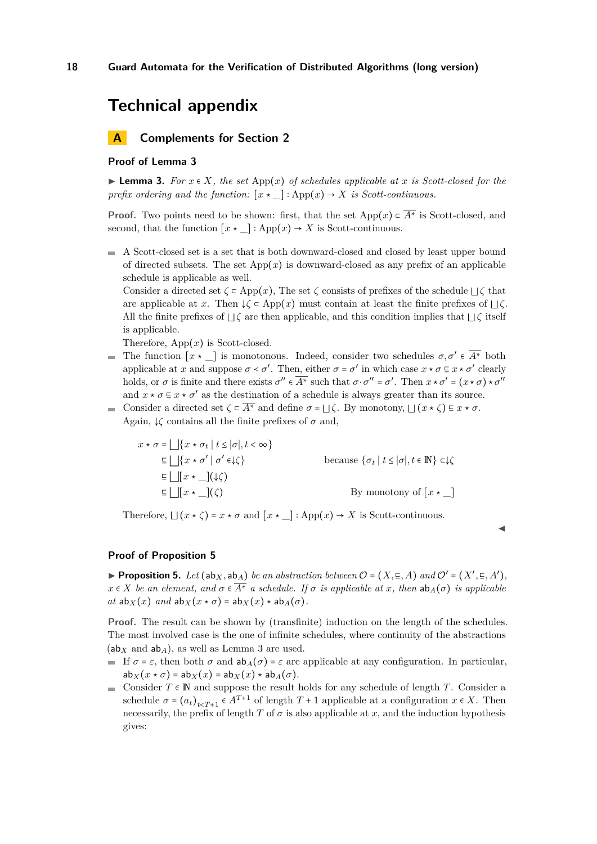## **Technical appendix**

## **A Complements for Section 2**

### **Proof of Lemma 3**

▶ **Lemma 3.** *For*  $x \in X$ *, the set* App( $x$ ) *of schedules applicable at*  $x$  *is Scott-closed for the prefix ordering and the function:*  $[x \star \_]: App(x) \to X$  *is Scott-continuous.* 

**Proof.** Two points need to be shown: first, that the set App $(x) \in \overline{A^*}$  is Scott-closed, and second, that the function  $[x \star ] : \mathrm{App}(x) \to X$  is Scott-continuous.

 $\blacksquare$  A Scott-closed set is a set that is both downward-closed and closed by least upper bound of directed subsets. The set  $\text{App}(x)$  is downward-closed as any prefix of an applicable schedule is applicable as well.

Consider a directed set  $\zeta \subset \mathrm{App}(x)$ , The set  $\zeta$  consists of prefixes of the schedule  $\iota \zeta$  that are applicable at *x*. Then  $\downarrow \zeta$  ⊂ App $(x)$  must contain at least the finite prefixes of  $\vert \vert \zeta$ . All the finite prefixes of <sup>⊔</sup>*<sup>ζ</sup>* are then applicable, and this condition implies that <sup>⊔</sup>*<sup>ζ</sup>* itself is applicable.

Therefore,  $App(x)$  is Scott-closed.

- The function  $[x \star]$  is monotonous. Indeed, consider two schedules  $\sigma, \sigma' \in \overline{A^*}$  both applicable at *x* and suppose  $\sigma < \sigma'$ . Then, either  $\sigma = \sigma'$  in which case  $x \star \sigma \subseteq x \star \sigma'$  clearly holds, or  $\sigma$  is finite and there exists  $\sigma'' \in \overline{A^*}$  such that  $\sigma \cdot \sigma'' = \sigma'$ . Then  $x \star \sigma' = (x \star \sigma) \star \sigma''$ and  $x \star \sigma \subseteq x \star \sigma'$  as the destination of a schedule is always greater than its source.
- Consider a directed set  $\zeta \subset \overline{A^*}$  and define  $\sigma = \bigsqcup \zeta$ . By monotony,  $\bigsqcup (x \star \zeta) \subseteq x \star \sigma$ . m. Again,  $\downarrow \zeta$  contains all the finite prefixes of  $\sigma$  and,

$$
x \star \sigma = \bigsqcup \{x \star \sigma_t \mid t \le |\sigma|, t < \infty\}
$$
  
\n
$$
\equiv \bigsqcup \{x \star \sigma' \mid \sigma' \in \mathcal{L}\}
$$
  
\n
$$
\equiv \bigsqcup [x \star \_](\mathcal{L})
$$
  
\n
$$
\equiv \bigsqcup [x \star \_](\mathcal{L})
$$
  
\n
$$
\equiv \bigsqcup [x \star \_](\mathcal{L})
$$
  
\n
$$
\equiv \bigsqcup [x \star \_](\mathcal{L})
$$
  
\nBy monotony of  $[x \star \_]$ 

Therefore,  $\Box(x \star \zeta) = x \star \sigma$  and  $\lceil x \star \Box \rceil$ : App $(x) \to X$  is Scott-continuous.

### **Proof of Proposition 5**

▶ **Proposition 5.** *Let*  $(ab_{X}, ab_{A})$  *be an abstraction between*  $O = (X, \subseteq, A)$  *and*  $O' = (X', \subseteq, A')$ ,  $x \in X$  *be an element, and*  $\sigma \in \overline{A^*}$  *a schedule. If*  $\sigma$  *is applicable at x, then*  $ab_A(\sigma)$  *is applicable*  $at$   $ab_X(x)$   $and$   $ab_X(x \star \sigma) = ab_X(x) \star ab_A(\sigma)$ .

◀

**Proof.** The result can be shown by (transfinite) induction on the length of the schedules. The most involved case is the one of infinite schedules, where continuity of the abstractions  $(ab<sub>X</sub>$  and  $ab<sub>A</sub>$ ), as well as Lemma 3 are used.

- If  $\sigma = \varepsilon$ , then both  $\sigma$  and  $ab_A(\sigma) = \varepsilon$  are applicable at any configuration. In particular,  $ab_X(x \star \sigma) = ab_X(x) = ab_X(x) \star ab_A(\sigma).$
- Consider  $T \in \mathbb{N}$  and suppose the result holds for any schedule of length *T*. Consider a schedule  $\sigma = (a_t)_{t \le T+1} \in A^{T+1}$  of length  $T+1$  applicable at a configuration  $x \in X$ . Then necessarily, the prefix of length *T* of  $\sigma$  is also applicable at *x*, and the induction hypothesis gives: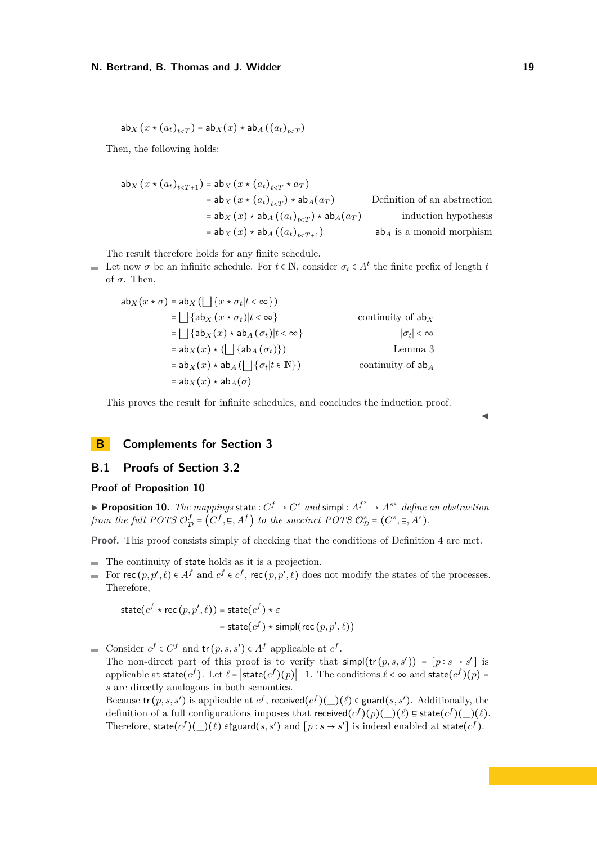$$
\mathsf{ab}_X\left(x \star (a_t)_{t < T}\right) = \mathsf{ab}_X(x) \star \mathsf{ab}_A\left((a_t)_{t < T}\right)
$$

Then, the following holds:

$$
ab_{X} (x * (a_{t})_{t < T+1}) = ab_{X} (x * (a_{t})_{t < T} * a_{T})
$$
  
\n
$$
= ab_{X} (x * (a_{t})_{t < T}) * ab_{A}(a_{T})
$$
Definition of an abstraction  
\n
$$
= ab_{X} (x) * ab_{A} ((a_{t})_{t < T}) * ab_{A}(a_{T})
$$
 induction hypothesis  
\n
$$
= ab_{X} (x) * ab_{A} ((a_{t})_{t < T+1})
$$
ab<sub>A</sub> is a monoid morphism

The result therefore holds for any finite schedule.

Let now  $\sigma$  be an infinite schedule. For  $t \in \mathbb{N}$ , consider  $\sigma_t \in A^t$  the finite prefix of length  $t$ of  $\sigma$ . Then,

$$
ab_{X}(x * \sigma) = ab_{X} (L \{x * \sigma_{t} | t < \infty\})
$$
  
\n
$$
= L \{ab_{X}(x * \sigma_{t}) | t < \infty\}
$$
 continuity of  $ab_{X}$   
\n
$$
= L \{ab_{X}(x) * ab_{A}(\sigma_{t}) | t < \infty\}
$$
  
\n
$$
= ab_{X}(x) * (L \{ab_{A}(\sigma_{t})\})
$$
 Lemma 3  
\n
$$
= ab_{X}(x) * ab_{A} (L \{b_{t} | t \in \mathbb{N}\})
$$
 continuity of  $ab_{A}$   
\n
$$
= ab_{X}(x) * ab_{A}(\sigma)
$$

This proves the result for infinite schedules, and concludes the induction proof.

## ◀

## **B Complements for Section 3**

## **B.1 Proofs of Section 3.2**

## **Proof of Proposition 10**

▶ **Proposition 10.** *The mappings* state  $: C^f \rightarrow C^s$  *and* simpl  $: A^{f^*} \rightarrow A^{s^*}$  *define an abstraction from the full POTS* O *f*  $\mathcal{D}^f_{\mathcal{D}} = (C^f, \Xi, A^f)$  *to the succinct POTS*  $\mathcal{O}_{\mathcal{D}}^s = (C^s, \Xi, A^s)$ *.* 

**Proof.** This proof consists simply of checking that the conditions of Definition 4 are met.

- The continuity of state holds as it is a projection.
- For  $\text{rec}(p, p', \ell) \in A^f$  and  $c^f \in c^f$ ,  $\text{rec}(p, p', \ell)$  does not modify the states of the processes.  $\blacksquare$ Therefore,

state
$$
(c^f \star \text{rec}(p, p', \ell))
$$
 = state $(c^f) \star \varepsilon$   
 = state $(c^f) \star \text{simple(rec}(p, p', \ell))$ 

Consider  $c^f \in C^f$  and  $tr(p, s, s') \in A^f$  applicable at  $c^f$ .  $\equiv$ 

The non-direct part of this proof is to verify that  $\textsf{simp}(\textsf{tr}(p, s, s')) = [p : s \to s']$  is applicable at state( $c^f$ ). Let  $\ell = |\text{state}(c^f)(p)| - 1$ . The conditions  $\ell < \infty$  and state( $c^f$ )( $p$ ) = *s* are directly analogous in both semantics.

Because  $\text{tr}(p, s, s')$  is applicable at  $c^f$ , received $(c^f)(\_)(\ell) \in \text{guard}(s, s')$ . Additionally, the definition of a full configurations imposes that received $(c^f)(p)(\_)(\ell) \in \text{state}(c^f)(\_)(\ell)$ . Therefore,  $\text{state}(c^f)(\_)(\ell) \in \text{Sylard}(s, s')$  and  $[p : s \to s']$  is indeed enabled at  $\text{state}(c^f)$ .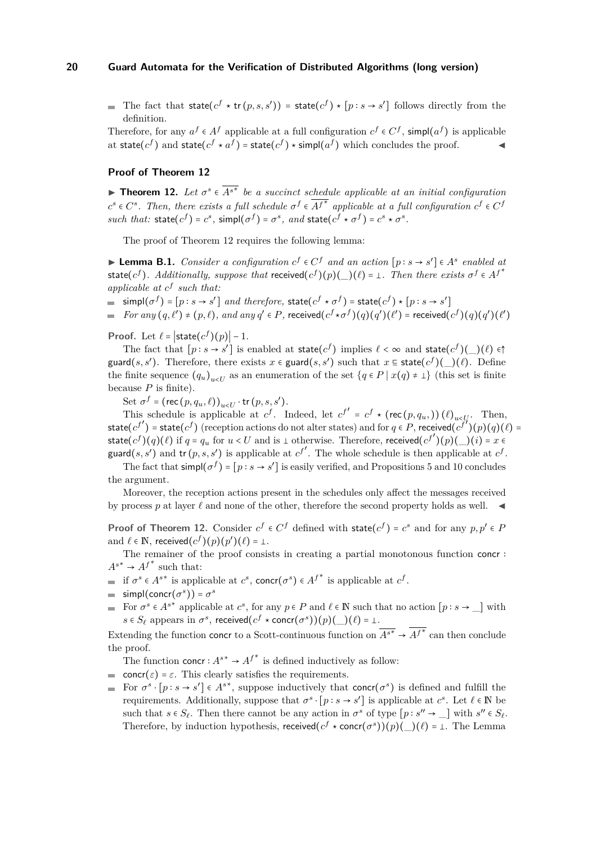The fact that  $\text{state}(c^f \star \text{tr}(p, s, s')) = \text{state}(c^f) \star [p : s \to s']$  follows directly from the definition.

Therefore, for any  $a^f \in A^f$  applicable at a full configuration  $c^f \in C^f$ ,  $\text{simp}((a^f)$  is applicable at state( $c^f$ ) and state( $c^f \star a^f$ ) = state( $c^f$ )  $\star$  simpl( $a^f$ ) which concludes the proof.

### **Proof of Theorem 12**

**► Theorem 12.** Let  $\sigma^s \in \overline{A^{s^*}}$  be a succinct schedule applicable at an initial configuration  $c^s \in C^s$ . Then, there exists a full schedule  $\sigma^f \in \overline{A^{f^*}}$  applicable at a full configuration  $c^f \in C^f$ such that:  $\text{state}(c^f) = c^s$ ,  $\text{simple}(\sigma^f) = \sigma^s$ , and  $\text{state}(c^f \star \sigma^f) = c^s \star \sigma^s$ .

The proof of Theorem 12 requires the following lemma:

**► Lemma B.1.** Consider a configuration  $c^f \in C^f$  and an action  $[p : s \rightarrow s'] \in A^s$  enabled at state(*c*<sup>*f*</sup>). Additionally, suppose that received(*c*<sup>*f*</sup>)(*p*)(*\_*)( $\ell$ ) =  $\bot$ . Then there exists  $\sigma^f \in A^{f^*}$ *applicable at c f such that:*

 $\textsf{simple}(\sigma^f) = [p : s \to s'] \text{ and therefore, state}(c^f \star \sigma^f) = \textsf{state}(c^f) \star [p : s \to s']$ 

For any  $(q, l') \neq (p, l)$ , and any  $q' \in P$ , received  $(c^f * \sigma^f)(q)(q')$   $(l')$  = received  $(c^f)(q)(q')$   $(l')$ 

**Proof.** Let  $\ell = |\text{state}(c^f)(p)| - 1$ .

The fact that  $[p : s \to s']$  is enabled at state $(c^f)$  implies  $\ell < \infty$  and state $(c^f)(\ell)$ guard(*s, s'*). Therefore, there exists  $x \in \text{guard}(s, s')$  such that  $x \in \text{state}(c^f)(\_)(\ell)$ . Define the finite sequence  $(q_u)_{u \leq U}$  as an enumeration of the set  $\{q \in P \mid x(q) \neq \bot\}$  (this set is finite because *P* is finite).

Set  $\sigma^f$  = (rec  $(p, q_u, \ell)$ )<sub>u<</sub>U · tr  $(p, s, s')$ .

This schedule is applicable at  $c^f$ . Indeed, let  $c^{f'} = c^f \star (\mathsf{rec}(p, q_u,)) (\ell)_{u \ltimes U}$ . Then, state( $c^{f'}$ ) = state( $c^{f'}$ ) (reception actions do not alter states) and for  $q \in P$ , received( $c^{f'}$ )( $p$ )( $q$ )( $\ell$ ) = state( $c^f$ )( $q$ )( $\ell$ ) if  $q = q_u$  for  $u < U$  and is  $\bot$  otherwise. Therefore, received $(c^{f'})(p)(\_)$ ( $i$ ) =  $x \in$ guard(*s, s'*) and  $\text{tr}(p, s, s')$  is applicable at  $c^f$ . The whole schedule is then applicable at  $c^f$ .

The fact that  $\textsf{simp}(\sigma^f) = [p : s \to s']$  is easily verified, and Propositions 5 and 10 concludes the argument.

Moreover, the reception actions present in the schedules only affect the messages received by process  $p$  at layer  $\ell$  and none of the other, therefore the second property holds as well.

**Proof of Theorem 12.** Consider  $c^f \in C^f$  defined with  $\text{state}(c^f) = c^s$  and for any  $p, p' \in P$ and  $\ell \in \mathbb{N}$ , received $(c^f)(p)(p')(\ell) = 1$ .

The remainer of the proof consists in creating a partial monotonous function concr ∶  $A^{s*} \rightarrow A^{f*}$  such that:

- if  $\sigma^s \in A^{s*}$  is applicable at  $c^s$ , concr( $\sigma^s$ )  $\in A^{f^*}$  is applicable at  $c^f$ .
- $\textsf{simp}(\textsf{concr}(\sigma^s)) = \sigma^s$
- For  $\sigma^s \in A^{s*}$  applicable at  $c^s$ , for any  $p \in P$  and  $\ell \in \mathbb{N}$  such that no action  $[p : s \to \_]$  with  $s \in S_\ell$  appears in  $\sigma^s$ , received $(c^f \star \text{concr}(\sigma^s))(p)(\_)(\ell) = \bot$ .

Extending the function concr to a Scott-continuous function on  $\overline{A^{s*}} \to \overline{A^{f*}}$  can then conclude the proof.

The function concr :  $A^{s*} \to A^{f*}$  is defined inductively as follow:

- $\text{concr}(\varepsilon) = \varepsilon$ . This clearly satisfies the requirements.
- For  $\sigma^s \cdot [p : s \to s'] \in A^{s*}$ , suppose inductively that concr( $\sigma^s$ ) is defined and fulfill the requirements. Additionally, suppose that  $\sigma^s \cdot [p : s \to s']$  is applicable at  $c^s$ . Let  $\ell \in \mathbb{N}$  be such that  $s \in S_\ell$ . Then there cannot be any action in  $\sigma^s$  of type  $[p : s'' \to \_]$  with  $s'' \in S_\ell$ . Therefore, by induction hypothesis, received $(c^f \star \text{conc}(\sigma^s))(p)(\_)(\ell) = \bot$ . The Lemma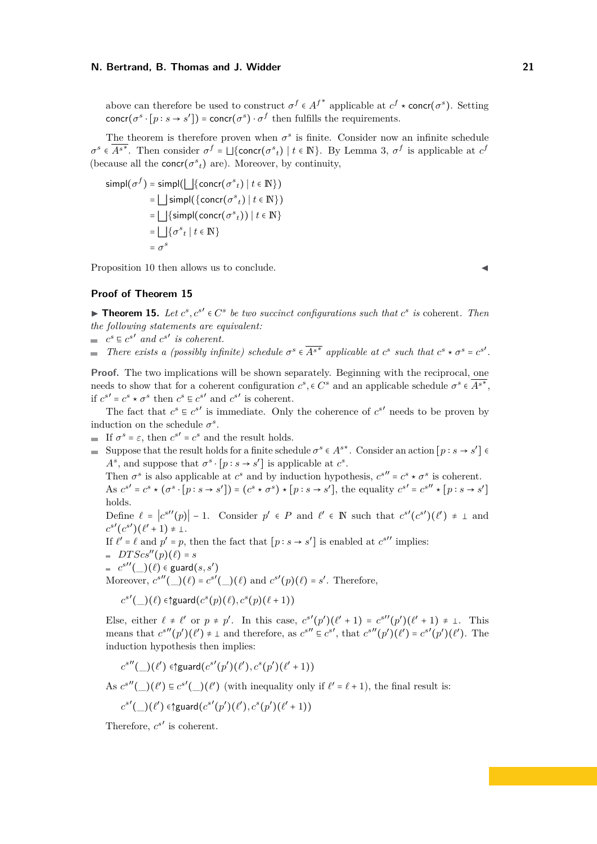above can therefore be used to construct  $\sigma^f \in A^{f^*}$  applicable at  $c^f \star \text{conc}(\sigma^s)$ . Setting concr( $\sigma^s \cdot [p : s \to s']$ ) = concr( $\sigma^s$ )  $\cdot \sigma^f$  then fulfills the requirements.

The theorem is therefore proven when  $\sigma^s$  is finite. Consider now an infinite schedule  $\sigma^s \in \overline{A^{s^*}}$ . Then consider  $\sigma^f = \bigsqcup \{\text{concr}(\sigma^s_t) \mid t \in \mathbb{N}\}\$ . By Lemma 3,  $\sigma^f$  is applicable at  $c^f$ (because all the **concr**( $\sigma^s_t$ ) are). Moreover, by continuity,

$$
simpl(\sigma^f) = \text{simpl}(\bigsqcup \{\text{concr}(\sigma^s_t) \mid t \in \mathbb{N}\})
$$
  
= 
$$
\bigsqcup \text{simpl}(\{\text{concr}(\sigma^s_t) \mid t \in \mathbb{N}\})
$$
  
= 
$$
\bigsqcup \{\text{simpl}(\text{concr}(\sigma^s_t)) \mid t \in \mathbb{N}\}
$$
  
= 
$$
\bigsqcup \{\sigma^s_t \mid t \in \mathbb{N}\}
$$
  
= 
$$
\sigma^s
$$

Proposition 10 then allows us to conclude.

### **Proof of Theorem 15**

▶ **Theorem 15.** *Let*  $c^s$ ,  $c^{s'} \in C^s$  *be two succinct configurations such that*  $c^s$  *is* coherent. Then *the following statements are equivalent:*

 $c^s \n\subseteq c^{s'}$  and  $c^{s'}$  is coherent.

*There exists a (possibly infinite) schedule*  $\sigma^s \in \overline{A^{s^*}}$  applicable at  $c^s$  such that  $c^s \star \sigma^s = c^{s'}$ .

**Proof.** The two implications will be shown separately. Beginning with the reciprocal, one needs to show that for a coherent configuration  $c^s$ ,  $\in C^s$  and an applicable schedule  $\sigma^s \in \overline{A^{s^*}}$ , if  $c^{s'} = c^s \star \sigma^s$  then  $c^s \in c^{s'}$  and  $c^{s'}$  is coherent.

The fact that  $c^s \nightharpoonup c^{s'}$  is immediate. Only the coherence of  $c^{s'}$  needs to be proven by induction on the schedule  $\sigma^s$ .

If  $\sigma^s = \varepsilon$ , then  $c^{s'} = c^s$  and the result holds.

Suppose that the result holds for a finite schedule  $\sigma^s \in A^{s*}$ . Consider an action  $[p : s \to s'] \in A^{s*}$ . *A*<sup>s</sup>, and suppose that  $\sigma$ <sup>s</sup> · [*p* : *s* → *s'*] is applicable at  $c$ <sup>s</sup>.

Then  $\sigma^s$  is also applicable at  $c^s$  and by induction hypothesis,  $c^{s''} = c^s \star \sigma^s$  is coherent. As  $c^{s'} = c^s \star (\sigma^s \cdot [p : s \to s']) = (c^s \star \sigma^s) \star [p : s \to s'],$  the equality  $c^{s'} = c^{s''} \star [p : s \to s']$ holds.

Define  $\ell = |c^{s''}(p)| - 1$ . Consider  $p' \in P$  and  $\ell' \in \mathbb{N}$  such that  $c^{s'}(c^{s'})(\ell') \neq \bot$  and  $s'(\ell s')(\ell'') \neq \bot$  $c^{s'}(c^{s'})(\ell'+1) \neq \bot.$ 

If  $\ell' = \ell$  and  $p' = p$ , then the fact that  $[p : s \to s']$  is enabled at  $c^{s''}$  implies:

 $DTScs''(p)(\ell) = s$ 

$$
= c^{s''}(\_)(\ell) \in \text{guard}(s, s')
$$

(\_)(*ℓ*) <sup>∈</sup> guard(*s, s*′ ) Moreover, *c s*′′(\_)(*ℓ*) <sup>=</sup> *<sup>c</sup> s*′ (\_)(*ℓ*) and *<sup>c</sup> s*′ (*p*)(*ℓ*) <sup>=</sup> *<sup>s</sup>* ′ . Therefore,

 $c^{s'}$ ( *\_*)( $\ell$ ) ∈↑guard $(c^{s}(p)(\ell), c^{s}(p)(\ell+1))$ 

Else, either  $\ell \neq \ell'$  or  $p \neq p'$ . In this case,  $c^{s'}(p')(\ell' + 1) = c^{s''}(p')(\ell' + 1) \neq \bot$ . This means that  $c^{s''}(p')(\ell') \neq \bot$  and therefore, as  $c^{s''} \in c^{s'}$ , that  $c^{s''}(p')(\ell') = c^{s'}(p')(\ell')$ . The induction hypothesis then implies:

$$
c^{s''}(\_)(\ell') \in \text{Squared}(c^{s'}(p')(\ell'), c^s(p')(\ell'+1))
$$

As  $c^{s''}(\_)(\ell') \subseteq c^{s'}(\_)(\ell')$  (with inequality only if  $\ell' = \ell + 1$ ), the final result is:

$$
c^{s'}(\_)(\ell') \in \text{Squared}(c^{s'}(p')(\ell'), c^s(p')(\ell'+1))
$$

Therefore,  $c^{s'}$  is coherent.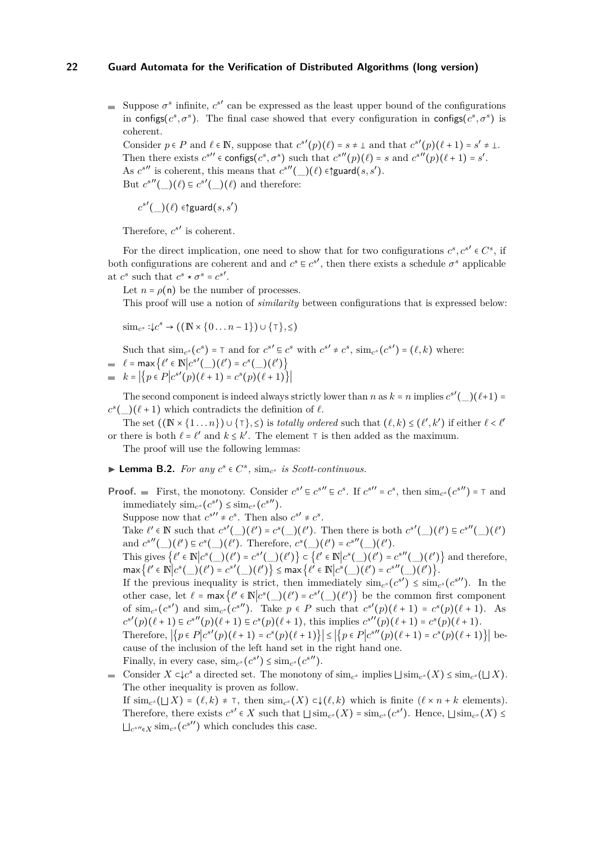Suppose  $\sigma^s$  infinite,  $c^{s'}$  can be expressed as the least upper bound of the configurations in configs( $c^s$ , $\sigma^s$ ). The final case showed that every configuration in configs( $c^s$ , $\sigma^s$ ) is coherent.

Consider  $p \in P$  and  $\ell \in \mathbb{N}$ , suppose that  $c^{s'}(p)(\ell) = s \neq \bot$  and that  $c^{s'}(p)(\ell+1) = s' \neq \bot$ . Then there exists  $c^{s''} \in \text{configs}(c^s, \sigma^s)$  such that  $c^{s''}(p)(\ell) = s$  and  $c^{s''}(p)(\ell+1) = s'$ . As  $c^{s''}$  is coherent, this means that  $c^{s''}(\_)(\ell) \in \mathfrak{f}$  guard $(s, s')$ . But  $c^{s''}(\_)(\ell) \equiv c^{s'}(\_)(\ell)$  and therefore:

 $c^{s'}$ (\_)( $\ell$ ) ∈↑guard $(s, s')$ 

Therefore,  $c^{s'}$  is coherent.

For the direct implication, one need to show that for two configurations  $c^s$ ,  $c^{s'} \in C^s$ , if both configurations are coherent and and  $c^s \nightharpoonup c^{s'}$ , then there exists a schedule  $\sigma^s$  applicable at  $c^s$  such that  $c^s \star \sigma^s = c^{s'}$ .

Let  $n = \rho(n)$  be the number of processes.

This proof will use a notion of *similarity* between configurations that is expressed below:

 $\text{sim}_{c^s}$  : $\downarrow c^s$  → ((**N** × {0...*n* − 1}) ∪ { $\tau$ }, ≤)

Such that  $\text{sim}_{c^s}(c^s) = \top$  and for  $c^{s'} \in c^s$  with  $c^{s'} \neq c^s$ ,  $\text{sim}_{c^s}(c^{s'}) = (\ell, k)$  where:<br> $\ell = \max_{\ell} \{ \ell' \in \mathbb{N} | c^{s'} \}$ 

= 
$$
\ell = \max \{ \ell' \in \mathbb{N} | c^{s'}(\_)(\ell') = c^s(\_)(\ell') \}
$$
  
=  $k = |\{ p \in P | c^{s'}(p)(\ell + 1) = c^s(p)(\ell + 1) \}|$ 

The second component is indeed always strictly lower than *n* as  $k = n$  implies  $c^{s'}(\_)(\ell+1) =$  $c^s$ ( $(\ell+1)$ ) which contradicts the definition of  $\ell$ .

The set  $((\mathbb{N} \times \{1 \dots n\}) \cup \{\top\}, \leq)$  is *totally ordered* such that  $(\ell, k) \leq (\ell', k')$  if either  $\ell < \ell'$ or there is both  $\ell = \ell'$  and  $k \leq k'$ . The element  $\tau$  is then added as the maximum.

The proof will use the following lemmas:

- ▶ **Lemma B.2.** *For any*  $c^s \in C^s$ ,  $\text{sim}_{c^s}$  *is Scott-continuous.*
- **Proof.**  $\blacksquare$  First, the monotony. Consider  $c^{s'} \varepsilon c^{s''} \varepsilon c^s$ . If  $c^{s''} = c^s$ , then  $\text{sim}_{c^s}(c^{s''}) = \top$  and  $\lim_{\epsilon \to 0} \frac{\sinh c_s}{c^s}$  (*c*<sup>*s''*</sup>).

Suppose now that  $c^{s''} \neq c^s$ . Then also  $c^{s'} \neq c^s$ .

Take  $\ell' \in \mathbb{N}$  such that  $c^{s'}(\_)(\ell') = c^{s}(\_)(\ell')$ . Then there is both  $c^{s'}(\_)(\ell') \subseteq c^{s''}(\_)(\ell')$ and  $c^{s''}(\_)(\ell') \equiv c^s(\_)(\ell')$ . Therefore,  $c^s(\_)(\ell') = c^{s''}(\_)(\ell').$ 

This gives  $\{\ell' \in \mathbb{N} | c^s(\_)(\ell') = c^{s'}(\_)(\ell')\} \subset \{\ell' \in \mathbb{N} | c^s(\_)(\ell') = c^{s''}(\_)(\ell')\}$  and therefore,  $\max \{ \ell' \in \mathbb{N} \Big| c^s(\_) (\ell') = c^{s'}(\_) (\ell') \} \le \max \{ \ell' \in \mathbb{N} \Big| c^s(\_) (\ell') = c^{s''}(\_) (\ell') \}.$ 

If the previous inequality is strict, then immediately  $\text{sim}_{c^s}(c^{s'}) \leq \text{sim}_{c^s}(c^{s''})$ . In the other case, let  $\ell = \max{\ell' \in \mathbb{N} | c^s(\_)(\ell') = c^{s'}(\_)(\ell')\}$  be the common first component of  $\sin_{c^s}(c^{s'})$  and  $\sin_{c^s}(c^{s''})$ . Take  $p \in P$  such that  $c^{s'}(p)(\ell+1) = c^s(p)(\ell+1)$ . As  $c^{s'}(p)(\ell+1) \in c^{s''}(p)(\ell+1) \in c^{s}(p)(\ell+1)$ , this implies  $c^{s''}(p)(\ell+1) = c^{s}(p)(\ell+1)$ .

Therefore,  $|\{p \in P | c^{s'}(p)(\ell + 1) = c^s(p)(\ell + 1)\}| \le |\{p \in P | c^{s''}(p)(\ell + 1) = c^s(p)(\ell + 1)\}|$  because of the inclusion of the left hand set in the right hand one.

Finally, in every case,  $\operatorname{sim}_{c^s}(c^{s'}) \leq \operatorname{sim}_{c^s}(c^{s''})$ . Consider  $X \subset \mathcal{L}^s$  a directed set. The monotony of sim<sub>*c*</sub> implies  $\sqcup$  sim<sub>*c*</sub><sup>s</sup>( $X$ ) ≤ sim<sub>*c*</sub><sup>s</sup>( $\sqcup X$ ). The other inequality is proven as follow.

If  $\text{sim}_{c^s}(\sqcup X) = (\ell, k) \neq \top$ , then  $\text{sim}_{c^s}(X) \subset \downarrow (\ell, k)$  which is finite  $(\ell \times n + k$  elements). Therefore, there exists  $c^{s'} \in X$  such that  $\sqcup \text{sim}_{c^s}(X) = \text{sim}_{c^s}(c^{s'})$ . Hence,  $\sqcup \text{sim}_{c^s}(X) \le$  $\sqcup_{c^{s''}\in X}$  sim<sub>*c*<sup>*s*</sup></sub> (*c*<sup>*s*</sup> $\}'$ ) which concludes this case.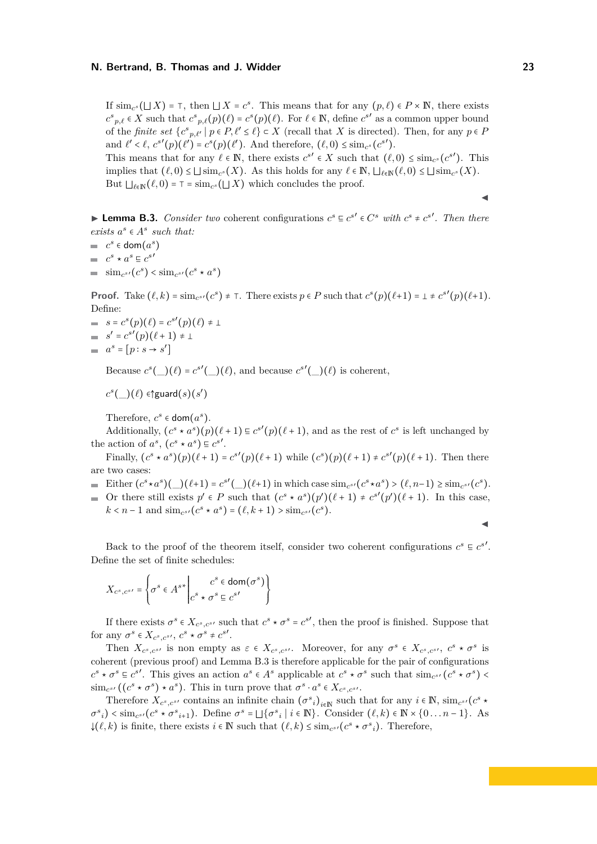If  $\sin_{c^s}(\Box X) = \top$ , then  $\Box X = c^s$ . This means that for any  $(p, \ell) \in P \times \mathbb{N}$ , there exists  $c^s p, \ell \in X$  such that  $c^s p, \ell(p)(\ell) = c^s(p)(\ell)$ . For  $\ell \in \mathbb{N}$ , define  $c^{s'}$  as a common upper bound of the *finite set*  $\{c^s_{p,\ell'} | p \in P, \ell' \leq \ell\} \subset X$  (recall that *X* is directed). Then, for any  $p \in P$ and  $\ell' < \ell$ ,  $c^{s'}(p)(\ell') = c^{s}(p)(\ell')$ . And therefore,  $(\ell, 0) \le \text{sim}_{c^{s}}(c^{s'})$ . This means that for any  $\ell \in \mathbb{N}$ , there exists  $c^{s'} \in X$  such that  $(\ell, 0) \le \lim_{\varepsilon} c^{s'}$ . This implies that  $(\ell, 0) \leq \bigcup \text{sim}_{c^s}(X)$ . As this holds for any  $\ell \in \mathbb{N}$ ,  $\bigcup_{\ell \in \mathbb{N}} (\ell, 0) \leq \bigcup \text{sim}_{c^s}(X)$ . But  $\bigcup_{\ell \in \mathbb{N}} (\ell, 0) = \top = \text{sim}_{c^s}(\sqcup X)$  which concludes the proof.

**► Lemma B.3.** *Consider two* coherent configurations  $c^s \n\subseteq c^{s'} \in C^s$  with  $c^s \neq c^{s'}$ . Then there *exists*  $a^s \in A^s$  *such that:* 

 $c^s$  ∈ dom $(a^s)$ 

- $c^s \star a^s \sqsubseteq c^{s'}$
- $\text{sim}_{c^{s'}}(c^s) < \text{sim}_{c^{s'}}(c^s \star a^s)$

**Proof.** Take  $(\ell, k) = \text{sim}_{c^{s'}}(c^s) \neq \top$ . There exists  $p \in P$  such that  $c^s(p)(\ell+1) = \bot \neq c^{s'}(p)(\ell+1)$ . Define:

- $s = c^{s}(p)(\ell) = c^{s'}(p)(\ell) \neq \bot$  $s' = c^{s'}(p)(\ell + 1) \neq 1$
- $a^s = [p : s \rightarrow s']$

Because  $c^s(\_)(\ell) = c^{s'}(\_)(\ell)$ , and because  $c^{s'}(\_)(\ell)$  is coherent,

 $c^s$ (\_)( $\ell$ ) ∈↑guard $(s)$ ( $s'$ )

Therefore,  $c^s \in \text{dom}(a^s)$ .

Additionally,  $(c^s * a^s)(p)(\ell+1) \equiv c^{s'}(p)(\ell+1)$ , and as the rest of  $c^s$  is left unchanged by the action of  $a^s$ ,  $(c^s * a^s) \n\subseteq c^{s'}$ .

Finally,  $(c^s * a^s)(p)(\ell + 1) = c^{s'}(p)(\ell + 1)$  while  $(c^s)(p)(\ell + 1) \neq c^{s'}(p)(\ell + 1)$ . Then there are two cases:

- Either  $(c^s * a^s)(\underline{\hspace{1cm}})(\ell+1) = c^{s'}(\underline{\hspace{1cm}})(\ell+1)$  in which case  $\text{sim}_{c^{s'}}(c^s * a^s) > (\ell, n-1) \geq \text{sim}_{c^{s'}}(c^s).$
- Or there still exists  $p' \in P$  such that  $(c^s * a^s)(p')(\ell + 1) \neq c^{s'}(p')(\ell + 1)$ . In this case,  $k < n - 1$  and  $\text{sim}_{c^{s'}}(c^s \star a^s) = (\ell, k + 1) > \text{sim}_{c^{s'}}(c^s)$ .

◀

◀

Back to the proof of the theorem itself, consider two coherent configurations  $c^s \nightharpoonup c^{s'}$ . Define the set of finite schedules:

$$
X_{c^s, c^{s'}} = \left\{ \sigma^s \in A^{s*} \middle| \begin{matrix} c^s \in \text{dom}(\sigma^s) \\ c^s \star \sigma^s \equiv c^{s'} \end{matrix} \right\}
$$

If there exists  $\sigma^s \in X_{c^s,c^{s'}}$  such that  $c^s \star \sigma^s = c^{s'}$ , then the proof is finished. Suppose that for any  $\sigma^s \in X_{c^s,c^{s'}}$ ,  $c^s \star \sigma^s \neq c^{s'}$ .

Then  $X_{c^s,c^{s'}}$  is non empty as  $\varepsilon \in X_{c^s,c^{s'}}$ . Moreover, for any  $\sigma^s \in X_{c^s,c^{s'}}, c^s \star \sigma^s$  is coherent (previous proof) and Lemma B.3 is therefore applicable for the pair of configurations  $c^s \star \sigma^s \in c^{s'}$ . This gives an action  $a^s \in A^s$  applicable at  $c^s \star \sigma^s$  such that  $\sin_{c^{s'}}(c^s \star \sigma^s)$  $\sin n_{c} s'$  (( $c^s \star \sigma^s$ )  $\star a^s$ ). This in turn prove that  $\sigma^s \cdot a^s \in X_{c^s,c^{s'}}$ .

Therefore  $X_c$ <sup>*s*</sup>,  $c$ <sup>*s*</sup></sub>′ contains an infinite chain  $(\sigma^s_i)_{i \in \mathbb{N}}$  such that for any  $i \in \mathbb{N}$ ,  $\sin c$ <sup>*s*</sup> $(c^s \star)$  $\sigma_{i}^{s}$  < sim<sub>c</sub><sup>s</sup> ( $c^{s}$   $\star \sigma_{i+1}^{s}$ ). Define  $\sigma^{s} = \bigsqcup \{\sigma_{i}^{s} | i \in \mathbb{N}\}\$ . Consider  $(\ell, k) \in \mathbb{N} \times \{0 \dots n-1\}$ . As  $\downarrow$ ( $\ell, k$ ) is finite, there exists  $i \in \mathbb{N}$  such that  $(\ell, k)$  ≤ sim<sub>*c*</sub><sup>*s*</sup>( $c^s \star \sigma^s$ <sub>*i*</sub>). Therefore,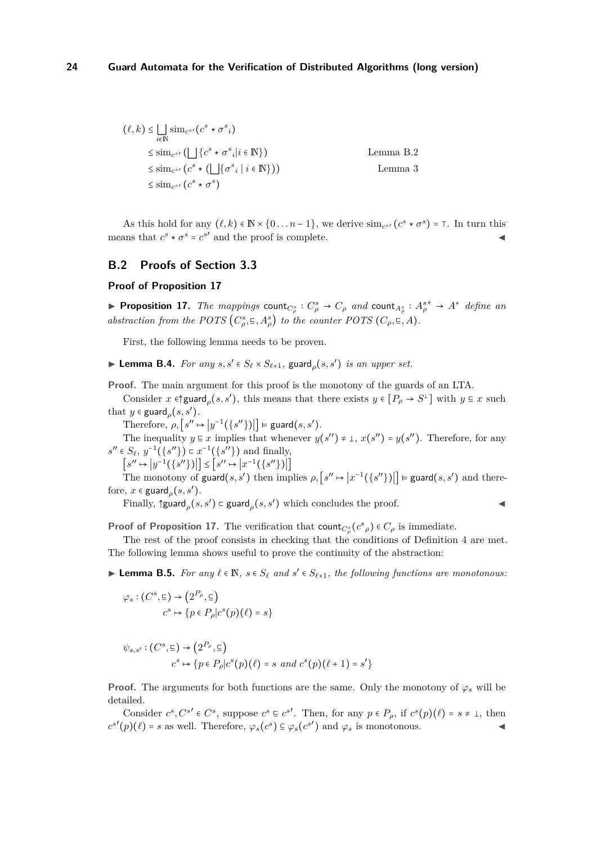$$
(\ell, k) \leq \bigsqcup_{i \in \mathbb{N}} \text{sim}_{c^{s'}}(c^s \star \sigma^s_i)
$$
  
\n
$$
\leq \text{sim}_{c^{s'}}(\bigsqcup \{c^s \star \sigma^s_i | i \in \mathbb{N}\})
$$
  
\n
$$
\leq \text{sim}_{c^{s'}}(c^s \star (\bigsqcup \{\sigma^s_i | i \in \mathbb{N}\}))
$$
  
\nLemma 3  
\n
$$
\leq \text{sim}_{c^{s'}}(c^s \star \sigma^s)
$$

As this hold for any  $(\ell, k) \in \mathbb{N} \times \{0 \dots n-1\}$ , we derive  $\sin c^{s}$   $(c^s \star \sigma^s) = \top$ . In turn this means that  $c^s \star \sigma^s = c^{s'}$  and the proof is complete.

## **B.2 Proofs of Section 3.3**

### **Proof of Proposition 17**

▶ Proposition 17. The mappings count<sub> $C^s_\rho$ </sub> :  $C^s_\rho \to C_\rho$  and count<sub> $A^s_\rho$ </sub> :  $A^{s*}_\rho \to A^*$  define an *abstraction from the POTS*  $(C_{\rho}^{s}, \epsilon, A_{\rho}^{s})$  *to the counter POTS*  $(C_{\rho}, \epsilon, A)$ *.* 

First, the following lemma needs to be proven.

▶ **Lemma B.4.** *For any*  $s, s' \in S_{\ell} \times S_{\ell+1}$ , guard<sub> $\rho$ </sub> $(s, s')$  *is an upper set.* 

**Proof.** The main argument for this proof is the monotony of the guards of an LTA.

Consider  $x \in \text{Sylard}_\rho(s, s')$ , this means that there exists  $y \in [P_\rho \to S^\perp]$  with  $y \in x$  such that  $y \in \text{guard}_\rho(s, s').$ 

Therefore,  $\rho$ ,  $[s'' \mapsto |y^{-1}(\{s''\})|] \models \text{guard}(s, s').$ 

The inequality  $y \in x$  implies that whenever  $y(s'') \neq \bot$ ,  $x(s'') = y(s'')$ . Therefore, for any  $s'' \in S_{\ell}, y^{-1}(\{s''\}) \subset x^{-1}(\{s''\})$  and finally,

 $[s' \mapsto |y^{-1}(\{s''\})|] \leq [s'' \mapsto |x^{-1}(\{s''\})|]$ 

The monotony of guard(*s*, *s'*) then implies  $\rho$ ,  $[s'' \mapsto |x^{-1}(\{s''\})|] \models$  guard(*s*, *s'*) and therefore,  $x \in \text{guard}_{\rho}(s, s').$ 

Finally, ↑guard*<sup>ρ</sup>* (*s, s*′ ) <sup>⊂</sup> guard*<sup>ρ</sup>* (*s, s*′ ) which concludes the proof. ◀

**Proof of Proposition 17.** The verification that count $C^s_\rho$  ( $c^s$ <sub>*ρ*</sub>)  $\in C_\rho$  is immediate.

The rest of the proof consists in checking that the conditions of Definition 4 are met. The following lemma shows useful to prove the continuity of the abstraction:

▶ **Lemma B.5.** *For any*  $\ell \in \mathbb{N}$ *,*  $s \in S_{\ell}$  *and*  $s' \in S_{\ell+1}$ *, the following functions are monotonous:* 

$$
\varphi_s : (C^s, \Xi) \to (2^{P_\rho}, \Xi)
$$

$$
c^s \mapsto \{ p \in P_\rho | c^s(p)(\ell) = s \}
$$

$$
\psi_{s,s'} : (C^s, \Xi) \to (2^{P_\rho}, \Xi)
$$
  

$$
c^s \mapsto \{ p \in P_\rho | c^s(p)(\ell) = s \text{ and } c^s(p)(\ell+1) = s' \}
$$

**Proof.** The arguments for both functions are the same. Only the monotony of  $\varphi_s$  will be detailed.

Consider  $c^s$ ,  $C^{s'} \in C^s$ , suppose  $c^s \in c^{s'}$ . Then, for any  $p \in P_\rho$ , if  $c^s(p)(\ell) = s \neq \bot$ , then  $c^{s'}(p)(\ell) = s$  as well. Therefore,  $\varphi_s(c^s) \subseteq \varphi_s(c^{s'})$  and  $\varphi_s$  is monotonous.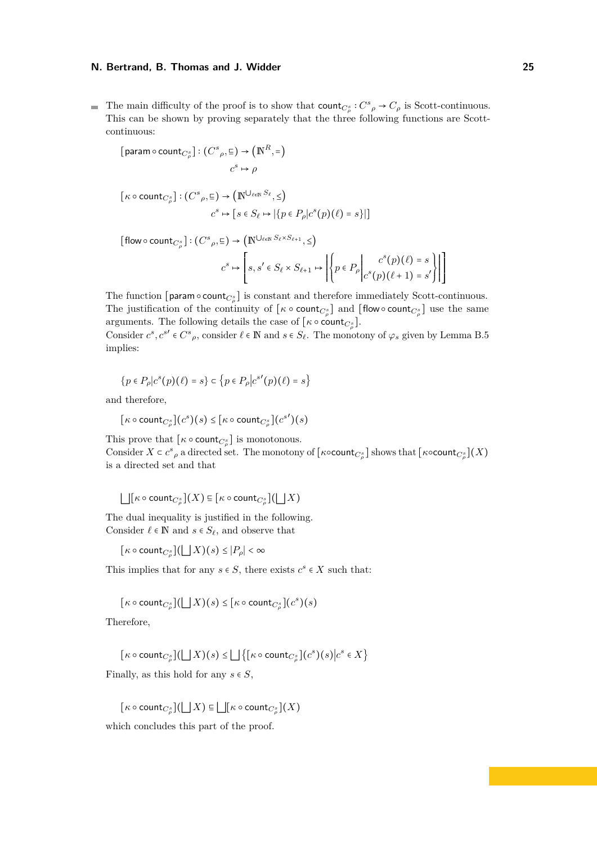The main difficulty of the proof is to show that  $\text{count}_{C^s_\rho}: C^s_{\rho} \to C_{\rho}$  is Scott-continuous. This can be shown by proving separately that the three following functions are Scottcontinuous:

$$
[\text{param} \circ \text{count}_{C^s_{\rho}}] : (C^s_{\rho}, \Xi) \to (\mathbb{N}^R, =)
$$

$$
c^s \mapsto \rho
$$

$$
[\kappa \circ \text{count}_{C_{\rho}^s}]: (C^s_{\rho}, \Xi) \to (\mathbb{N} \cup_{\ell \in \mathbb{N}} S_{\ell}, \leq)
$$

$$
c^s \mapsto [s \in S_{\ell} \mapsto |\{p \in P_{\rho} | c^s(p)(\ell) = s\}|]
$$

 $\left[\text{flow}\circ\text{count}_{C_{\rho}^s}\right]:\left(C^s_{\rho},\Xi\right)\to\left(\mathbb{N}^{\bigcup_{\ell\in\mathbb{N}}S_{\ell}\times S_{\ell+1}},\leq\right)$ 

$$
c^s \mapsto \left[ s, s' \in S_\ell \times S_{\ell+1} \mapsto \left| \left\{ p \in P_\rho \middle| \begin{matrix} c^s(p)(\ell) = s \\ c^s(p)(\ell+1) = s' \end{matrix} \right| \right| \right]
$$

The function  $[\text{param} \circ \text{count}_{C_{\rho}^s}]$  is constant and therefore immediately Scott-continuous. The justification of the continuity of  $[\kappa \circ \text{count}_{C_{\rho}^s}]$  and  $[\text{flow} \circ \text{count}_{C_{\rho}^s}]$  use the same arguments. The following details the case of  $[\kappa \circ \text{count}_{C_{\rho}}]$ .

Consider  $c^s$ ,  $c^{s'} \in C^s$ , consider  $\ell \in \mathbb{N}$  and  $s \in S_\ell$ . The monotony of  $\varphi_s$  given by Lemma B.5 implies:

$$
\{p \in P_{\rho} | c^s(p)(\ell) = s\} \subset \{p \in P_{\rho} | c^{s'}(p)(\ell) = s\}
$$

and therefore,

$$
[\kappa \circ \text{count}_{C^s_{\rho}}](c^s)(s) \leq [\kappa \circ \text{count}_{C^s_{\rho}}](c^{s})
$$

This prove that  $[\kappa \circ \text{count}_{C_{\rho}^s}]$  is monotonous. Consider  $X \subset c^s$ , a directed set. The monotony of  $\left[\kappa \circ \text{count}_{C^s_{\rho}}\right]$  shows that  $\left[\kappa \circ \text{count}_{C^s_{\rho}}\right](X)$ is a directed set and that

$$
\bigsqcup [\kappa \circ \text{count}_{C^s_{\rho}}](X) \subseteq [\kappa \circ \text{count}_{C^s_{\rho}}] (\bigsqcup X)
$$

The dual inequality is justified in the following. Consider  $\ell \in \mathbb{N}$  and  $s \in S_{\ell}$ , and observe that

 $\left[ \kappa \circ \text{count}_{C_{\rho}^s} \right] (\bigsqcup X)(s) \leq |P_{\rho}| < \infty$ 

This implies that for any  $s \in S$ , there exists  $c^s \in X$  such that:

$$
[\kappa \circ \text{count}_{C_{\rho}^s}](\bigsqcup X)(s) \leq [\kappa \circ \text{count}_{C_{\rho}^s}](c^s)(s)
$$

Therefore,

$$
[\kappa \circ \mathsf{count}_{C^s_{\rho}}] (\bigsqcup X)(s) \le \bigsqcup \{ [\kappa \circ \mathsf{count}_{C^s_{\rho}}](c^s)(s) \big| c^s \in X \}
$$

Finally, as this hold for any  $s \in S$ ,

$$
[\kappa \circ \text{count}_{C^s_{\rho}}] (\bigsqcup X) \subseteq \bigsqcup [\kappa \circ \text{count}_{C^s_{\rho}}](X)
$$

which concludes this part of the proof.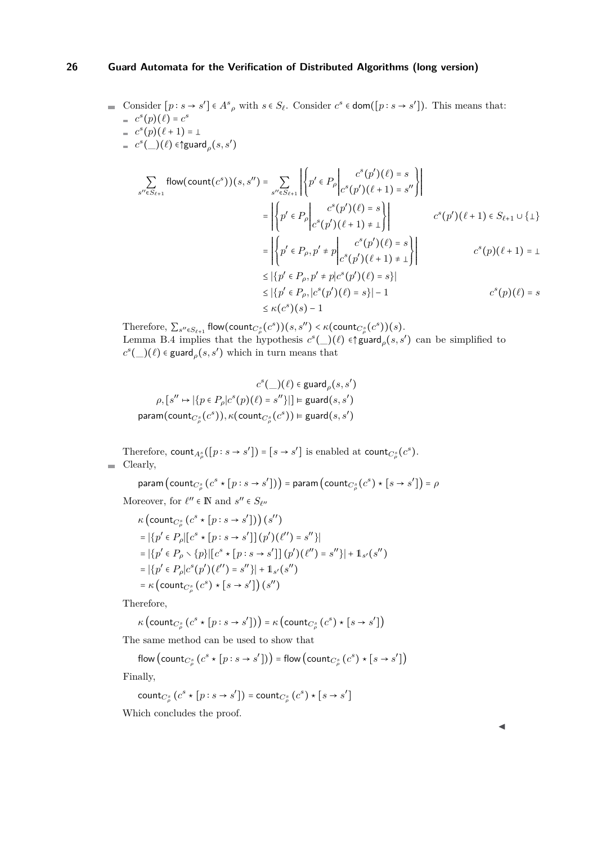\n- Consider 
$$
[p : s \to s'] \in A^s \rho
$$
 with  $s \in S_\ell$ . Consider  $c^s \in \text{dom}([p : s \to s'])$ . This means that:
\n- $c^s(p)(\ell) = c^s$
\n- $c^s(p)(\ell+1) = \bot$
\n- $c^s(\_)(\ell) \in \text{Squared}_\rho(s, s')$
\n

$$
\sum_{s'' \in S_{\ell+1}} \text{flow}(\text{count}(c^s))(s, s'') = \sum_{s'' \in S_{\ell+1}} \left| \left\{ p' \in P_{\rho} \middle| \begin{aligned} c^s(p')(\ell) &= s \\ c^s(p')(\ell+1) &= s'' \end{aligned} \right\} \right| \\ = \left| \left\{ p' \in P_{\rho} \middle| \begin{aligned} c^s(p')(\ell) &= s \\ c^s(p')(\ell+1) &= 1 \end{aligned} \right\} \right| \\ = \left| \left\{ p' \in P_{\rho}, p' \neq p \middle| \begin{aligned} c^s(p')(\ell) &= s \\ c^s(p')(\ell+1) &= 1 \end{aligned} \right\} \right| \\ \leq \left| \left\{ p' \in P_{\rho}, p' \neq p \middle| \begin{aligned} c^s(p')(\ell) &= s \\ c^s(p')(\ell+1) &= 1 \end{aligned} \right\} \right| \\ \leq \left| \left\{ p' \in P_{\rho}, p' \neq p \middle| \begin{aligned} c^s(p')(\ell) &= s \right\} \right| \\ \leq \left| \left\{ p' \in P_{\rho}, p' \neq p \middle| \begin{aligned} c^s(p')(\ell) &= s \right\} \end{aligned} \right| \\ \leq \left| \left\{ p' \in P_{\rho}, p' \neq p \middle| \begin{aligned} c^s(p')(\ell) &= s \right\} \end{aligned} \right| \\ \leq \kappa(c^s)(s) - 1 \end{aligned} \qquad c^s(p)(\ell) = s \}
$$

Therefore,  $\sum_{s'' \in S_{\ell+1}}$  flow(count<sub>*C*<sup>*s*</sup></sub>( $c^s$ ))(*s*, *s*<sup>*′*</sup>) <  $\kappa$ (count<sub>*C*<sup>*s*</sup></sup>( $c^s$ ))(*s*).</sub> Lemma B.4 implies that the hypothesis  $c^s$ ( $\bigcup (\ell) \in \text{guard}_\rho(s, s')$  can be simplified to  $c^s$ (\_)( $\ell$ )  $\epsilon$  guard<sub>*ρ*</sub>(*s*, *s*') which in turn means that

$$
c^{s}(\_)(\ell) \in \text{guard}_{\rho}(s, s')
$$

$$
\rho, [s'' \mapsto |\{p \in P_{\rho}|c^{s}(p)(\ell) = s''\}|] \models \text{guard}(s, s')
$$

$$
\text{param}(\text{count}_{C_{\rho}^{s}}(c^{s})), \kappa(\text{count}_{C_{\rho}^{s}}(c^{s})) \models \text{guard}(s, s')
$$

Therefore, count<sub> $A^s_\rho$ </sub>  $([p : s \to s']) = [s \to s']$  is enabled at count<sub> $C^s_\rho$ </sub> $(c^s)$ .  $\quad \quad \text{Clearly,}$ 

param (count<sub>C<sub>\rho</sub></sub> s (c<sup>s</sup> \* [p : s \rightarrow s']) = param (count<sub>C<sub>\rho</sub></sub> (c<sup>s</sup>) \* [s \rightarrow s']) = 
$$
\rho
$$

Moreover, for  $\ell'' \in \mathbb{N}$  and  $s'' \in S_{\ell''}$ 

$$
\kappa \left( \text{count}_{C_{\rho}^{s}} \left( c^{s} \star [p:s \to s'] \right) \right) \left( s'' \right)
$$
\n
$$
= |\{p' \in P_{\rho} | [c^{s} \star [p:s \to s']] \left( p' \right) \left( \ell'' \right) = s'' \} |
$$
\n
$$
= |\{p' \in P_{\rho} \setminus \{p\} | [c^{s} \star [p:s \to s']] \left( p' \right) \left( \ell'' \right) = s'' \} | + 1_{s'}(s'')
$$
\n
$$
= |\{p' \in P_{\rho} | c^{s}(p') \left( \ell'' \right) = s'' \} | + 1_{s'}(s'')
$$
\n
$$
= \kappa \left( \text{count}_{C_{\rho}^{s}} \left( c^{s} \right) \star [s \to s'] \right) \left( s'' \right)
$$

Therefore,

$$
\kappa\left(\text{count}_{C^s_{\rho}}\left(c^s \star [p:s \to s']\right)\right) = \kappa\left(\text{count}_{C^s_{\rho}}\left(c^s\right) \star [s \to s']\right)
$$

The same method can be used to show that

$$
\mathsf{flow}\left(\mathsf{count}_{C^s_\rho}\left(c^s \star [p:s \to s']\right)\right) = \mathsf{flow}\left(\mathsf{count}_{C^s_\rho}\left(c^s\right) \star [s \to s']\right)
$$

Finally,

count<sub>C<sup>s</sup>/<sub>ρ</sub></sub> 
$$
(cs \times [p : s \rightarrow s']) = \text{count}_{Cs/ρ
$$
  $(cs) \times [s \rightarrow s']$ 

Which concludes the proof.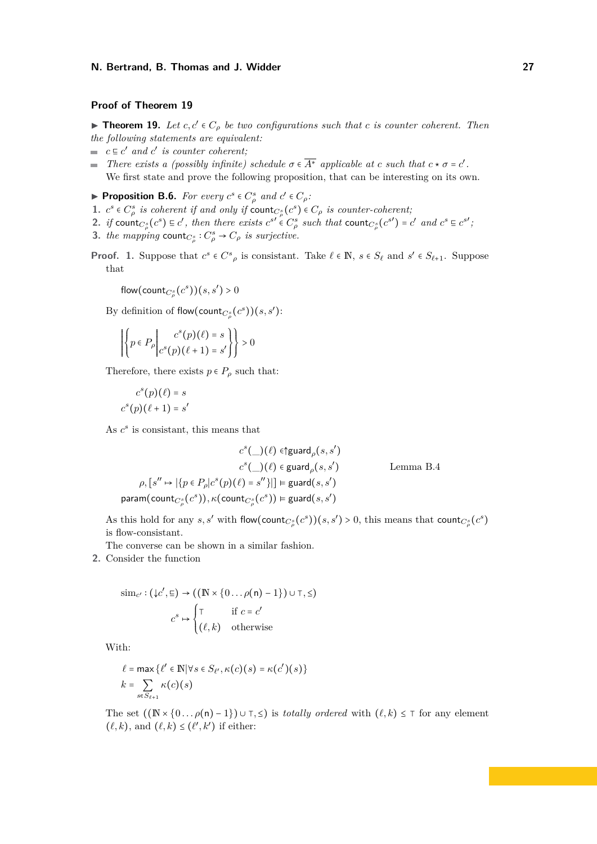### **Proof of Theorem 19**

▶ **Theorem 19.** *Let*  $c, c' \in C_\rho$  *be two configurations such that*  $c$  *is counter coherent. Then the following statements are equivalent:*

- $c \in c'$  *and*  $c'$  *is counter coherent;*
- *There exists a (possibly infinite) schedule*  $\sigma \in \overline{A^*}$  *applicable at c such that*  $c * \sigma = c'$ . We first state and prove the following proposition, that can be interesting on its own.

▶ **Proposition B.6.** *For every*  $c^s \in C^s_\rho$  and  $c' \in C_\rho$ :

- **1.**  $c^s \in C^s_\rho$  is coherent if and only if  $\text{count}_{C^s_\rho}(c^s) \in C_\rho$  is counter-coherent;
- 2. if count  $c^s_\rho(c^s) \in c'$ , then there exists  $c^{s'} \in C^s_\rho$  such that count  $c^s_\rho(c^{s'}) = c'$  and  $c^s \in c^{s'}$ ;
- **3.** *the mapping* count $C^s_\rho$  :  $C^s_\rho \to C_\rho$  *is surjective.*
- **Proof. 1.** Suppose that  $c^s \in C^s$  *p* is consistant. Take  $\ell \in \mathbb{N}$ ,  $s \in S_\ell$  and  $s' \in S_{\ell+1}$ . Suppose that

flow(count<sub> $C^s_\rho$ </sub> $(c^s)$ )( $s, s'$ ) > 0

By definition of flow(count<sub> $C^s_\rho$ </sub> $(c^s)$ )(*s*, *s'*):

$$
\left| \left\{ p \in P_{\rho} \middle| \begin{matrix} c^{s}(p)(\ell) = s \\ c^{s}(p)(\ell+1) = s' \end{matrix} \right\} \right| > 0
$$

Therefore, there exists  $p \in P$ <sup>*ρ*</sup> such that:

$$
cs(p)(\ell) = s
$$

$$
cs(p)(\ell + 1) = s'
$$

As  $c^s$  is consistant, this means that

$$
c^{s}(\_)(\ell) \in \text{G}(\ell), s')
$$
  
\n
$$
c^{s}(\_)(\ell) \in \text{guard}_{\rho}(s, s')
$$
  
\n
$$
\rho, [s'' \mapsto |\{p \in P_{\rho} | c^{s}(p)(\ell) = s''\}|] \in \text{guard}(s, s')
$$
  
\n
$$
\text{param}(\text{count}_{C_{\rho}^{s}}(c^{s})), \kappa(\text{count}_{C_{\rho}^{s}}(c^{s})) \in \text{guard}(s, s')
$$

As this hold for any *s*, *s'* with flow(count<sub>*C*<sup>*s*</sup></sup>(*c*<sup>*s*</sup>))(*s*, *s'*) > 0, this means that count<sub>*C*<sup>*s*</sup></sup>(*c*<sup>*s*</sup>)</sub></sub> is flow-consistant.

The converse can be shown in a similar fashion.

**2.** Consider the function

$$
\text{sim}_{c'} : (\downarrow c', \sqsubseteq) \to ((\mathbb{N} \times \{0 \dots \rho(n) - 1\}) \cup \top, \leq)
$$
\n
$$
c^s \mapsto \begin{cases} \top & \text{if } c = c' \\ (\ell, k) & \text{otherwise} \end{cases}
$$

With:

$$
\ell = \max \{ \ell' \in \mathbb{N} | \forall s \in S_{\ell'}, \kappa(c)(s) = \kappa(c')(s) \}
$$

$$
k = \sum_{s \in S_{\ell+1}} \kappa(c)(s)
$$

The set  $((\mathbb{N} \times \{0 \dots \rho(n) - 1\}) \cup \tau, \leq)$  is *totally ordered* with  $(\ell, k) \leq \tau$  for any element  $(\ell, k)$ , and  $(\ell, k) \leq (\ell', k')$  if either: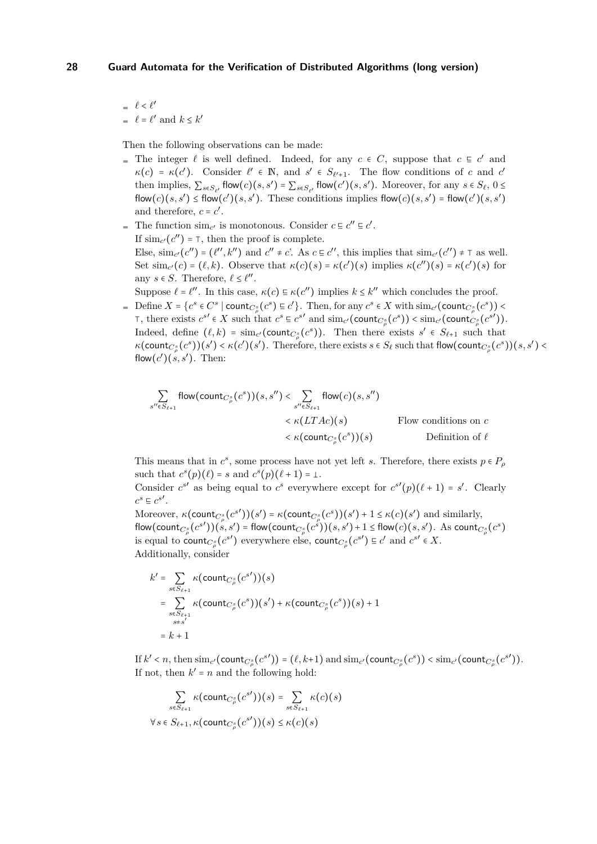*<sup>ℓ</sup>* <sup>&</sup>lt; *<sup>ℓ</sup>* ′  $\ell = \ell'$  and  $k \leq k'$ 

*s*

Then the following observations can be made:

- The integer  $\ell$  is well defined. Indeed, for any  $c \in C$ , suppose that  $c \subseteq c'$  and  $\kappa(c) = \kappa(c')$ . Consider  $\ell' \in \mathbb{N}$ , and  $s' \in S_{\ell'+1}$ . The flow conditions of *c* and *c*' then implies,  $\sum_{s \in S_{\ell'}} f(\mathsf{low}(c)(s, s') = \sum_{s \in S_{\ell'}} f(\mathsf{low}(c')(s, s'))$ . Moreover, for any  $s \in S_{\ell}, 0 \leq$ flow(*c*)(*s*, *s'*)  $\leq$  flow(*c'*)(*s*, *s'*). These conditions implies flow(*c*)(*s*, *s'*) = flow(*c'*)(*s*, *s'*) and therefore,  $c = c'$ .
- The function  $\sin c'$  is monotonous. Consider  $c \in c'' \in c'$ . If  $\text{sim}_{c'}(c'') = \top$ , then the proof is complete. Else,  $\text{sim}_{c'}(c'') = (l'', k'')$  and  $c'' \neq c'$ . As  $c \in c''$ , this implies that  $\text{sim}_{c'}(c'') \neq \top$  as well. Set  $\text{sim}_{c'}(c) = (\ell, k)$ . Observe that  $\kappa(c)(s) = \kappa(c')(s)$  implies  $\kappa(c'')(s) = \kappa(c')(s)$  for any  $s \in S$ . Therefore,  $\ell \leq \ell''$ .
- Suppose  $\ell = \ell''$ . In this case,  $\kappa(c) \in \kappa(c'')$  implies  $k \leq k''$  which concludes the proof. Define  $X = \{c^s \in C^s \mid \text{count}_{C^s_{\rho}}(c^s) \in c'\}$ . Then, for any  $c^s \in X$  with  $\text{sim}_{c'}(\text{count}_{C^s_{\rho}}(c^s))$  $\Gamma$ , there exists  $c^{s'} \in X$  such that  $c^s \in c^{s'}$  and  $\text{sim}_{c'}(\text{count}_{C^s_{\rho}}(c^s)) < \text{sim}_{c'}(\text{count}_{C^s_{\rho}}(c^s'))$ Indeed, define  $(\ell, k) = \sin_{c'}(\text{count}_{C^s}(c^s))$ . Then there exists  $s' \in S_{\ell+1}$  such that  $\kappa(\text{count}_{C^s_{\rho}}(c^s))(s') < \kappa(c')(s')$ . Therefore, there exists  $s \in S_{\ell}$  such that flow(count $_{C^s_{\rho}}(c^s)(s, s') <$ flow $(c')(s, s')$ . Then:

$$
\sum_{\forall s \in S_{\ell+1}} \text{flow}(\text{count}_{C^s_{\rho}}(c^s))(s, s'') < \sum_{s'' \in S_{\ell+1}} \text{flow}(c)(s, s'')
$$
\n
$$
< \kappa(LTAc)(s) \qquad \text{Flow conditions on } c
$$
\n
$$
< \kappa(\text{count}_{C^s_{\rho}}(c^s))(s) \qquad \text{Definition of } \ell
$$

This means that in  $c^s$ , some process have not yet left *s*. Therefore, there exists  $p \in P_\rho$ such that  $c^s(p)(\ell) = s$  and  $c^s(p)(\ell+1) = \bot$ .

Consider  $c^{s'}$  as being equal to  $c^s$  everywhere except for  $c^{s'}(p)(\ell + 1) = s'$ . Clearly  $c^s \n\subseteq c^{s'}$ .

Moreover,  $\kappa(\text{count}_{C^s_\rho}(c^s))(s') = \kappa(\text{count}_{C^s_\rho}(c^s))(s') + 1 \leq \kappa(c)(s')$  and similarly, flow(count<sub>C<sub>p</sub><sup>s</sup></sub>(c<sup>s'</sup>))(s, s') = flow(count<sub>Cp</sub><sup>s</sup>(c<sup>s'</sup>))(s, s') + 1 ≤ flow(c)(s, s'). As count<sub>Cp</sub><sup>s</sup>(c<sup>s</sup>) is equal to count $C^s$  ( $c^{s'}$ ) everywhere else, count $C^s$  ( $c^{s'}$ )  $\in$   $c'$  and  $c^{s'} \in X$ . Additionally, consider

$$
k' = \sum_{\substack{s \in S_{\ell+1} \\ \vdots \\ s \in S_{\ell+1}}} \kappa(\text{count}_{C^s_{\rho}}(c^{s'}))(s)
$$
  
= 
$$
\sum_{\substack{s \in S_{\ell+1} \\ s \neq s'}} \kappa(\text{count}_{C^s_{\rho}}(c^{s'}))(s') + \kappa(\text{count}_{C^s_{\rho}}(c^{s'}))(s) + 1
$$
  
= 
$$
k + 1
$$

If  $k' < n$ , then  $\text{sim}_{c'}(\text{count}_{C^s_{\rho}}(c^{s'})) = (\ell, k+1)$  and  $\text{sim}_{c'}(\text{count}_{C^s_{\rho}}(c^s)) < \text{sim}_{c'}(\text{count}_{C^s_{\rho}}(c^{s'})).$ If not, then  $k' = n$  and the following hold:

$$
\sum_{s \in S_{\ell+1}} \kappa(\text{count}_{C^s_{\rho}}(c^{s'}))(s) = \sum_{s \in S_{\ell+1}} \kappa(c)(s)
$$
  

$$
\forall s \in S_{\ell+1}, \kappa(\text{count}_{C^s_{\rho}}(c^{s'}))(s) \leq \kappa(c)(s)
$$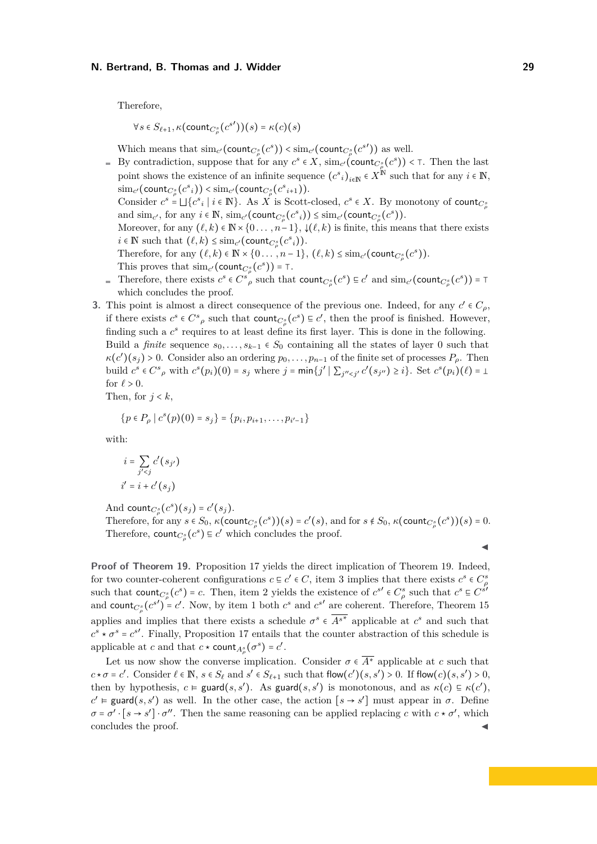Therefore,

$$
\forall s \in S_{\ell+1}, \kappa(\text{count}_{C^s_{\rho}}(c^{s'}))(s) = \kappa(c)(s)
$$

Which means that  $\text{sim}_{c'}(\text{count}_{C^s_{\rho}}(c^s)) < \text{sim}_{c'}(\text{count}_{C^s_{\rho}}(c^{s'}))$  as well.

- By contradiction, suppose that for any  $c^s \in X$ ,  $\text{sim}_{c'}(\text{count}_{C^s_{\rho}}(c^s))$  < ⊤. Then the last point shows the existence of an infinite sequence  $(c^s_i)_{i \in \mathbb{N}} \in X^{\mathbb{N}}$  such that for any  $i \in \mathbb{N}$ ,  $\lim_{c'}$  (count<sub>*C*<sup>*s*</sup></sub> ( $c^s$ <sub>*i*</sub>)) < sim<sub>*c'*</sub> (count<sub>*C*<sup>*s*</sup> ( $c^s$ <sub>*i*+1</sub>)).</sub> Consider  $c^s = \bigsqcup \{c^s_i \mid i \in \mathbb{N}\}\$ . As  $X$  is Scott-closed,  $c^s \in X$ . By monotony of count $c^s_{\rho}$ and  $\text{sim}_{c'}$ , for any  $i \in \mathbb{N}$ ,  $\text{sim}_{c'}(\text{count}_{C^s_{\rho}}(c^s)) \leq \text{sim}_{c'}(\text{count}_{C^s_{\rho}}(c^s)).$ Moreover, for any  $(\ell, k) \in \mathbb{N} \times \{0, \ldots, n-1\}$ ,  $\downarrow (\ell, k)$  is finite, this means that there exists  $i \in \mathbb{N}$  such that  $(\ell, k) \leq \lim_{c'} (\text{count}_{c''_p}(c^s_i)).$ Therefore, for any  $(\ell, k) \in \mathbb{N} \times \{0, \ldots, n-1\}$ ,  $(\ell, k) \leq \text{sim}_{c'}(\text{count}_{C^s_{\rho}}(c^s))$ .
	- This proves that  $\text{sim}_{c'}(\text{count}_{C^s_{\rho}}(c^s)) = \top$ .
- Therefore, there exists  $c^s \in C^s$ , such that  $count_{C^s_{\rho}}(c^s) \equiv c'$  and  $sim_{c'}(count_{C^s_{\rho}}(c^s)) = \top$ which concludes the proof.
- **3.** This point is almost a direct consequence of the previous one. Indeed, for any  $c' \in C_\rho$ , if there exists  $c^s \in C^s$ , such that count $c^s$ ,  $(c^s) \equiv c'$ , then the proof is finished. However, finding such a  $c^s$  requires to at least define its first layer. This is done in the following. Build a *finite* sequence  $s_0, \ldots, s_{k-1} \in S_0$  containing all the states of layer 0 such that  $\kappa(c')$ ( $s_j$ ) > 0. Consider also an ordering  $p_0, \ldots, p_{n-1}$  of the finite set of processes  $P_\rho$ . Then build  $c^s \in C^s$ , with  $c^s(p_i)(0) = s_j$  where  $j = \min\{j' \mid \sum_{j'' < j'} c'(s_{j''}) \ge i\}$ . Set  $c^s(p_i)(\ell) = \bot$ for  $\ell > 0$ .

Then, for  $j < k$ ,

$$
\{p \in P_{\rho} \mid c^{s}(p)(0) = s_{j}\} = \{p_{i}, p_{i+1}, \ldots, p_{i'-1}\}\
$$

with:

$$
i = \sum_{j' < j} c'(s_{j'})
$$
\n
$$
i' = i + c'(s_j)
$$

And count<sub> $C^s_\rho$ </sub> $(c^s)(s_j) = c'(s_j)$ .

Therefore, for any  $s \in S_0$ ,  $\kappa(\text{count}_{C^s_{\rho}}(c^s))(s) = c'(s)$ , and for  $s \notin S_0$ ,  $\kappa(\text{count}_{C^s_{\rho}}(c^s))(s) = 0$ . Therefore,  $count_{C^s_{\rho}}(c^s) \equiv c'$  which concludes the proof.

**Proof of Theorem 19.** Proposition 17 yields the direct implication of Theorem 19. Indeed, for two counter-coherent configurations  $c \in c' \in C$ , item 3 implies that there exists  $c^s \in C_p^s$ such that  $\text{count}_{C^s} (c^s) = c$ . Then, item 2 yields the existence of  $c^{s'} \in C^s$  such that  $c^s \in C^{s'}$ and count $c^s$  ( $c^{s'}$ ) =  $c'$ . Now, by item 1 both  $c^s$  and  $c^{s'}$  are coherent. Therefore, Theorem 15 applies and implies that there exists a schedule  $\sigma^s \in \overline{A^{s^*}}$  applicable at  $c^s$  and such that  $c^s \star \sigma^s = c^{s'}$ . Finally, Proposition 17 entails that the counter abstraction of this schedule is applicable at *c* and that  $c \star \text{count}_{A^s_{\rho}}(\sigma^s) = c'$ .

Let us now show the converse implication. Consider  $\sigma \in \overline{A^*}$  applicable at *c* such that  $c \star \sigma = c'$ . Consider  $\ell \in \mathbb{N}$ ,  $s \in S_{\ell}$  and  $s' \in S_{\ell+1}$  such that flow $(c')(s, s') > 0$ . If flow $(c)(s, s') > 0$ , then by hypothesis,  $c \models \text{guard}(s, s')$ . As guard $(s, s')$  is monotonous, and as  $\kappa(c) \models \kappa(c')$ ,  $c'$  ⊨ guard(*s, s*<sup>'</sup>) as well. In the other case, the action [*s* → *s*<sup>'</sup>] must appear in *σ*. Define  $\sigma = \sigma' \cdot [s \to s'] \cdot \sigma''$ . Then the same reasoning can be applied replacing *c* with  $c \star \sigma'$ , which concludes the proof.

$$
\blacktriangleleft
$$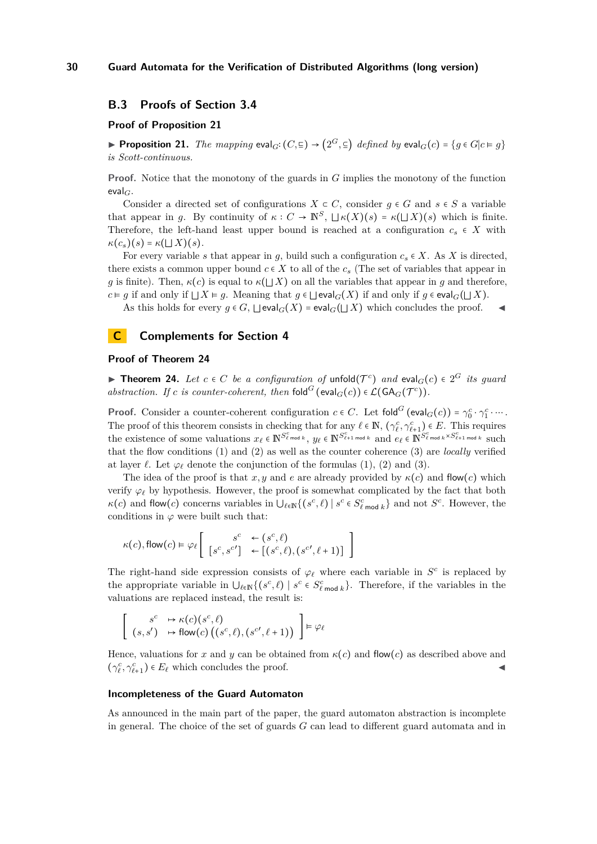## **B.3 Proofs of Section 3.4**

### **Proof of Proposition 21**

▶ **Proposition 21.** *The mapping*  $eval_G$ **:**  $(C, \subseteq)$  →  $(2^G, \subseteq)$  *defined by*  $eval_G(c) = \{g \in G | c \in g\}$ *is Scott-continuous.*

**Proof.** Notice that the monotony of the guards in *G* implies the monotony of the function eval*G*.

Consider a directed set of configurations  $X \subset C$ , consider  $q \in G$  and  $s \in S$  a variable that appear in *g*. By continuity of  $\kappa$  ∶ *C* →  $\mathbb{N}^S$ ,  $\sqcup \kappa(X)(s) = \kappa(\sqcup X)(s)$  which is finite. Therefore, the left-hand least upper bound is reached at a configuration  $c_s \in X$  with  $\kappa(c_s)(s) = \kappa(\sqcup X)(s).$ 

For every variable *s* that appear in *g*, build such a configuration  $c_s \in X$ . As *X* is directed, there exists a common upper bound  $c \in X$  to all of the  $c<sub>s</sub>$  (The set of variables that appear in *g* is finite). Then,  $\kappa(c)$  is equal to  $\kappa(|X|)$  on all the variables that appear in *g* and therefore, *c* ⊨ *g* if and only if  $\bigcup X$  ⊨ *g*. Meaning that *g* ∈  $\bigcup$  eval<sub>*G*</sub>(*X*) if and only if *g* ∈ eval<sub>*G*</sub>( $\bigcup X$ ).

As this holds for every  $g \in G$ ,  $\Box$ eval $G(X) = \mathrm{eval}_G(\Box X)$  which concludes the proof.

## **C Complements for Section 4**

#### **Proof of Theorem 24**

**► Theorem 24.** Let  $c \in C$  be a configuration of unfold $(T^c)$  and  $eval_G(c) \in 2^G$  its guard *abstraction. If c is counter-coherent, then*  $\text{fold}^G$  ( $\text{eval}_G(c)$ )  $\in \mathcal{L}(\text{GA}_G(\mathcal{T}^c))$ *.* 

**Proof.** Consider a counter-coherent configuration  $c \in C$ . Let  $\text{fold}^G$  ( $\text{eval}_G(c)$ ) =  $\gamma_0^c \cdot \gamma_1^c \cdots$ . The proof of this theorem consists in checking that for any  $\ell \in \mathbb{N}$ ,  $(\gamma_{\ell}^c, \gamma_{\ell+1}^c) \in E$ . This requires the existence of some valuations  $x_{\ell} \in \mathbb{N}^{S_{\ell}^{c}}$  or  $\ell$ ,  $y_{\ell} \in \mathbb{N}^{S_{\ell+1}^{c}}$  and  $e_{\ell} \in \mathbb{N}^{S_{\ell}^{c}}$  and  $\ell_{\ell} \in \mathbb{N}^{S_{\ell}^{c}}$  and  $\ell_{\ell} \in \mathbb{N}^{S_{\ell}^{c}}$  and  $\ell_{\ell} \in \mathbb{N}^{S_{\ell+1}^{c}}$  and  $\$ that the flow conditions (1) and (2) as well as the counter coherence (3) are *locally* verified at layer  $\ell$ . Let  $\varphi_{\ell}$  denote the conjunction of the formulas (1), (2) and (3).

The idea of the proof is that  $x, y$  and  $e$  are already provided by  $\kappa(c)$  and flow(*c*) which verify  $\varphi_\ell$  by hypothesis. However, the proof is somewhat complicated by the fact that both  $\kappa(c)$  and flow(*c*) concerns variables in  $\bigcup_{\ell \in \mathbb{N}} \{ (s^c, \ell) \mid s^c \in S^c_{\ell \text{ mod } k} \}$  and not  $S^c$ . However, the conditions in  $\varphi$  were built such that:

$$
\kappa(c), \text{flow}(c) \vDash \varphi_{\ell} \left[ \begin{array}{cc} s^c & \leftarrow (s^c, \ell) \\ [s^c, s^{c'}] & \leftarrow [(s^c, \ell), (s^{c'}, \ell + 1)] \end{array} \right]
$$

The right-hand side expression consists of  $\varphi_{\ell}$  where each variable in  $S^c$  is replaced by the appropriate variable in  $\bigcup_{\ell \in \mathbb{N}} \{ (s^c, \ell) \mid s^c \in S_{\ell \text{ mod } k}^c \}$ . Therefore, if the variables in the valuations are replaced instead, the result is:

$$
\begin{bmatrix}\ns^c & \mapsto \kappa(c)(s^c, \ell) \\
(s, s') & \mapsto \text{flow}(c)((s^c, \ell), (s^{c\prime}, \ell+1))\n\end{bmatrix} \models \varphi_{\ell}
$$

Hence, valuations for *x* and *y* can be obtained from  $\kappa(c)$  and flow(*c*) as described above and  $(\gamma^c_\ell, \gamma^c_{\ell+1}) \in E_\ell$  which concludes the proof.

### **Incompleteness of the Guard Automaton**

As announced in the main part of the paper, the guard automaton abstraction is incomplete in general. The choice of the set of guards *G* can lead to different guard automata and in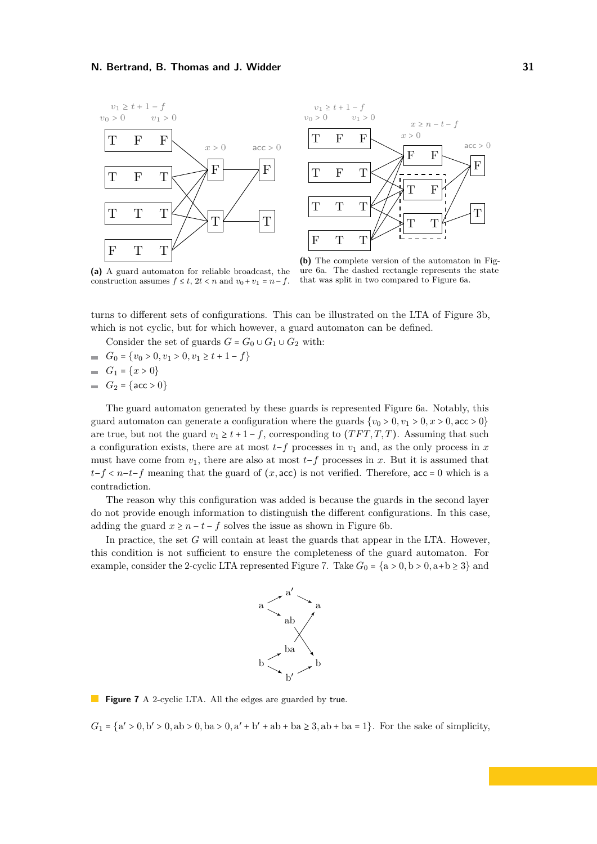



**(a)** A guard automaton for reliable broadcast, the construction assumes  $f \le t$ ,  $2t < n$  and  $v_0 + v_1 = n - f$ .

**(b)** The complete version of the automaton in Figure 6a. The dashed rectangle represents the state that was split in two compared to Figure 6a.

turns to different sets of configurations. This can be illustrated on the LTA of Figure 3b, which is not cyclic, but for which however, a guard automaton can be defined.

Consider the set of guards  $G = G_0 \cup G_1 \cup G_2$  with:

- $G_0 = \{v_0 > 0, v_1 > 0, v_1 \ge t + 1 f\}$
- *G*<sub>1</sub> = { $x > 0$ }
- *G*<sub>2</sub> = { $acc > 0$ }

The guard automaton generated by these guards is represented Figure 6a. Notably, this guard automaton can generate a configuration where the guards  $\{v_0 > 0, v_1 > 0, x > 0, \text{acc} > 0\}$ are true, but not the guard  $v_1 \geq t+1-f$ , corresponding to  $(TFT, T, T)$ . Assuming that such a configuration exists, there are at most  $t-f$  processes in  $v_1$  and, as the only process in  $x$ must have come from  $v_1$ , there are also at most  $t-f$  processes in x. But it is assumed that  $t-f < n-t-f$  meaning that the guard of  $(x, \text{acc})$  is not verified. Therefore, acc = 0 which is a contradiction.

The reason why this configuration was added is because the guards in the second layer do not provide enough information to distinguish the different configurations. In this case, adding the guard  $x \geq n - t - f$  solves the issue as shown in Figure 6b.

In practice, the set *G* will contain at least the guards that appear in the LTA. However, this condition is not sufficient to ensure the completeness of the guard automaton. For example, consider the 2-cyclic LTA represented Figure 7. Take  $G_0 = \{a > 0, b > 0, a+b \ge 3\}$  and



**Figure 7** A 2-cyclic LTA. All the edges are guarded by true.

 $G_1 = \{a' > 0, b' > 0, ab > 0, ba > 0, a' + b' + ab + ba \ge 3, ab + ba = 1\}$ . For the sake of simplicity,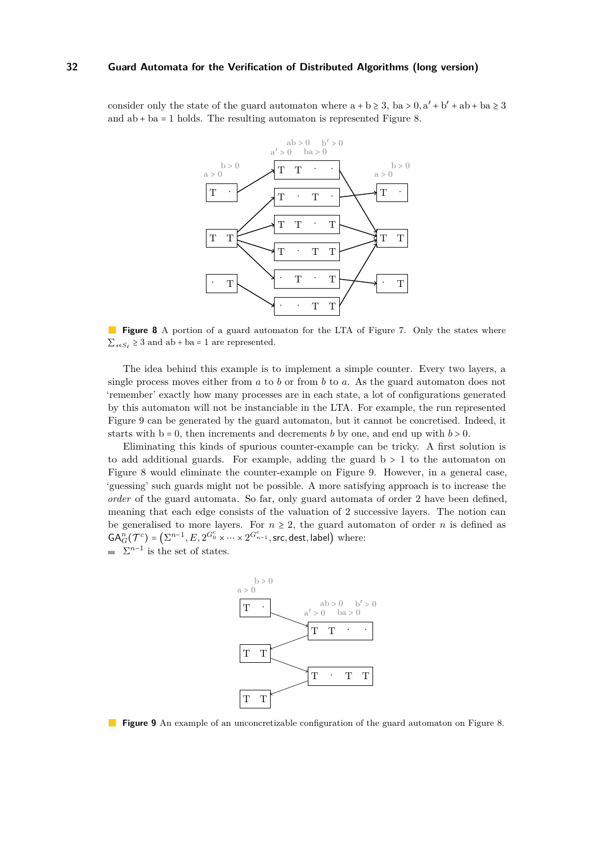consider only the state of the guard automaton where  $a + b \ge 3$ ,  $ba > 0$ ,  $a' + b' + ab + ba \ge 3$ and  $ab + ba = 1$  holds. The resulting automaton is represented Figure 8.



**Figure 8** A portion of a guard automaton for the LTA of Figure 7. Only the states where  $\sum_{s \in S_{\ell}}$  ≥ 3 and ab + ba = 1 are represented.

The idea behind this example is to implement a simple counter. Every two layers, a single process moves either from *a* to *b* or from *b* to *a*. As the guard automaton does not 'remember' exactly how many processes are in each state, a lot of configurations generated by this automaton will not be instanciable in the LTA. For example, the run represented Figure 9 can be generated by the guard automaton, but it cannot be concretised. Indeed, it starts with  $b = 0$ , then increments and decrements *b* by one, and end up with  $b > 0$ .

Eliminating this kinds of spurious counter-example can be tricky. A first solution is to add additional guards. For example, adding the guard  $b > 1$  to the automaton on Figure 8 would eliminate the counter-example on Figure 9. However, in a general case, 'guessing' such guards might not be possible. A more satisfying approach is to increase the *order* of the guard automata. So far, only guard automata of order 2 have been defined, meaning that each edge consists of the valuation of 2 successive layers. The notion can be generalised to more layers. For  $n \geq 2$ , the guard automaton of order *n* is defined as  $GA_G^n(T^c) = (\sum^{n-1}, E, 2^{G_0^c} \times \cdots \times 2^{G_{n-1}^c}$ , src, dest, label) where:  $\Sigma^{n-1}$  is the set of states.



**Figure 9** An example of an unconcretizable configuration of the guard automaton on Figure 8.